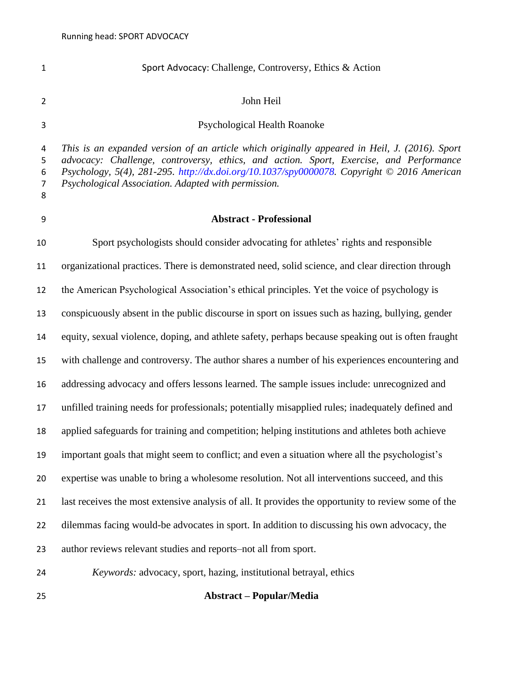| $\mathbf{1}$                       | Sport Advocacy: Challenge, Controversy, Ethics & Action                                                                                                                                                                                                                                                                                      |
|------------------------------------|----------------------------------------------------------------------------------------------------------------------------------------------------------------------------------------------------------------------------------------------------------------------------------------------------------------------------------------------|
| $\overline{2}$                     | John Heil                                                                                                                                                                                                                                                                                                                                    |
| 3                                  | Psychological Health Roanoke                                                                                                                                                                                                                                                                                                                 |
| 4<br>5<br>6<br>$\overline{7}$<br>8 | This is an expanded version of an article which originally appeared in Heil, J. (2016). Sport<br>advocacy: Challenge, controversy, ethics, and action. Sport, Exercise, and Performance<br>Psychology, 5(4), 281-295. http://dx.doi.org/10.1037/spy0000078. Copyright © 2016 American<br>Psychological Association. Adapted with permission. |
| 9                                  | <b>Abstract - Professional</b>                                                                                                                                                                                                                                                                                                               |
| 10                                 | Sport psychologists should consider advocating for athletes' rights and responsible                                                                                                                                                                                                                                                          |
| 11                                 | organizational practices. There is demonstrated need, solid science, and clear direction through                                                                                                                                                                                                                                             |
| 12                                 | the American Psychological Association's ethical principles. Yet the voice of psychology is                                                                                                                                                                                                                                                  |
| 13                                 | conspicuously absent in the public discourse in sport on issues such as hazing, bullying, gender                                                                                                                                                                                                                                             |
| 14                                 | equity, sexual violence, doping, and athlete safety, perhaps because speaking out is often fraught                                                                                                                                                                                                                                           |
| 15                                 | with challenge and controversy. The author shares a number of his experiences encountering and                                                                                                                                                                                                                                               |
| 16                                 | addressing advocacy and offers lessons learned. The sample issues include: unrecognized and                                                                                                                                                                                                                                                  |
| 17                                 | unfilled training needs for professionals; potentially misapplied rules; inadequately defined and                                                                                                                                                                                                                                            |
| 18                                 | applied safeguards for training and competition; helping institutions and athletes both achieve                                                                                                                                                                                                                                              |
| 19                                 | important goals that might seem to conflict; and even a situation where all the psychologist's                                                                                                                                                                                                                                               |
| 20                                 | expertise was unable to bring a wholesome resolution. Not all interventions succeed, and this                                                                                                                                                                                                                                                |
| 21                                 | last receives the most extensive analysis of all. It provides the opportunity to review some of the                                                                                                                                                                                                                                          |
| 22                                 | dilemmas facing would-be advocates in sport. In addition to discussing his own advocacy, the                                                                                                                                                                                                                                                 |
| 23                                 | author reviews relevant studies and reports-not all from sport.                                                                                                                                                                                                                                                                              |
| 24                                 | Keywords: advocacy, sport, hazing, institutional betrayal, ethics                                                                                                                                                                                                                                                                            |
| 25                                 | <b>Abstract – Popular/Media</b>                                                                                                                                                                                                                                                                                                              |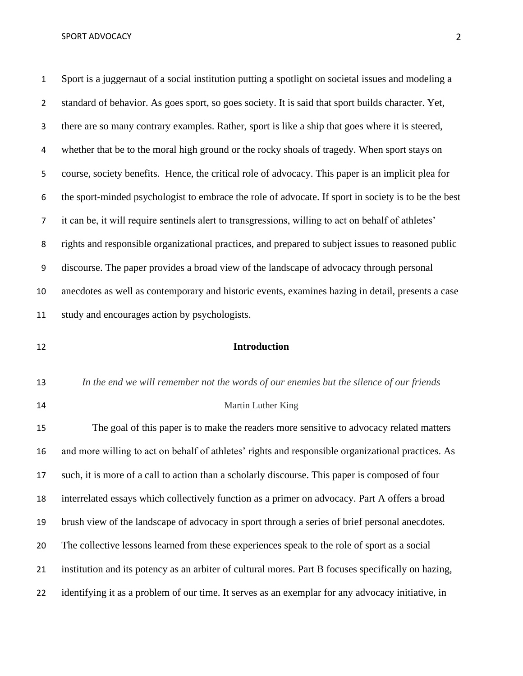Sport is a juggernaut of a social institution putting a spotlight on societal issues and modeling a standard of behavior. As goes sport, so goes society. It is said that sport builds character. Yet, there are so many contrary examples. Rather, sport is like a ship that goes where it is steered, whether that be to the moral high ground or the rocky shoals of tragedy. When sport stays on course, society benefits. Hence, the critical role of advocacy. This paper is an implicit plea for the sport-minded psychologist to embrace the role of advocate. If sport in society is to be the best it can be, it will require sentinels alert to transgressions, willing to act on behalf of athletes' rights and responsible organizational practices, and prepared to subject issues to reasoned public discourse. The paper provides a broad view of the landscape of advocacy through personal anecdotes as well as contemporary and historic events, examines hazing in detail, presents a case study and encourages action by psychologists.

## **Introduction**

- *In the end we will remember not the words of our enemies but the silence of our friends*
- 

## Martin Luther King

 The goal of this paper is to make the readers more sensitive to advocacy related matters and more willing to act on behalf of athletes' rights and responsible organizational practices. As such, it is more of a call to action than a scholarly discourse. This paper is composed of four interrelated essays which collectively function as a primer on advocacy. Part A offers a broad brush view of the landscape of advocacy in sport through a series of brief personal anecdotes. The collective lessons learned from these experiences speak to the role of sport as a social institution and its potency as an arbiter of cultural mores. Part B focuses specifically on hazing, identifying it as a problem of our time. It serves as an exemplar for any advocacy initiative, in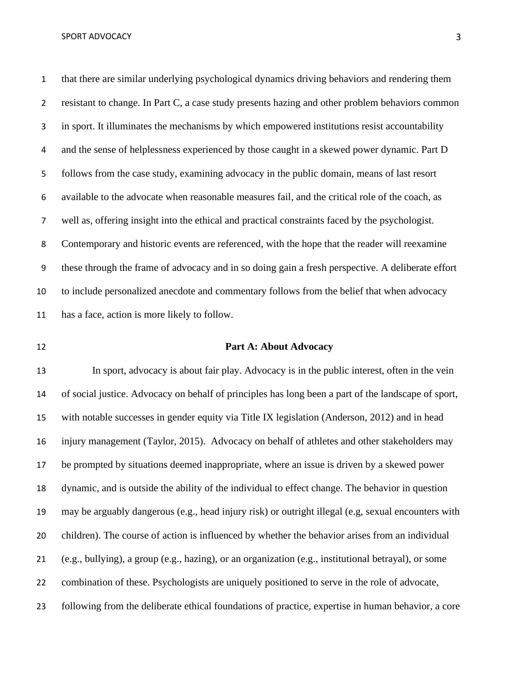that there are similar underlying psychological dynamics driving behaviors and rendering them resistant to change. In Part C, a case study presents hazing and other problem behaviors common in sport. It illuminates the mechanisms by which empowered institutions resist accountability 4 and the sense of helplessness experienced by those caught in a skewed power dynamic. Part D follows from the case study, examining advocacy in the public domain, means of last resort available to the advocate when reasonable measures fail, and the critical role of the coach, as well as, offering insight into the ethical and practical constraints faced by the psychologist. Contemporary and historic events are referenced, with the hope that the reader will reexamine these through the frame of advocacy and in so doing gain a fresh perspective. A deliberate effort to include personalized anecdote and commentary follows from the belief that when advocacy has a face, action is more likely to follow.

## **Part A: About Advocacy**

 In sport, advocacy is about fair play. Advocacy is in the public interest, often in the vein of social justice. Advocacy on behalf of principles has long been a part of the landscape of sport, with notable successes in gender equity via Title IX legislation (Anderson, 2012) and in head injury management (Taylor, 2015). Advocacy on behalf of athletes and other stakeholders may be prompted by situations deemed inappropriate, where an issue is driven by a skewed power dynamic, and is outside the ability of the individual to effect change. The behavior in question may be arguably dangerous (e.g., head injury risk) or outright illegal (e.g, sexual encounters with children). The course of action is influenced by whether the behavior arises from an individual (e.g., bullying), a group (e.g., hazing), or an organization (e.g., institutional betrayal), or some combination of these. Psychologists are uniquely positioned to serve in the role of advocate, following from the deliberate ethical foundations of practice, expertise in human behavior, a core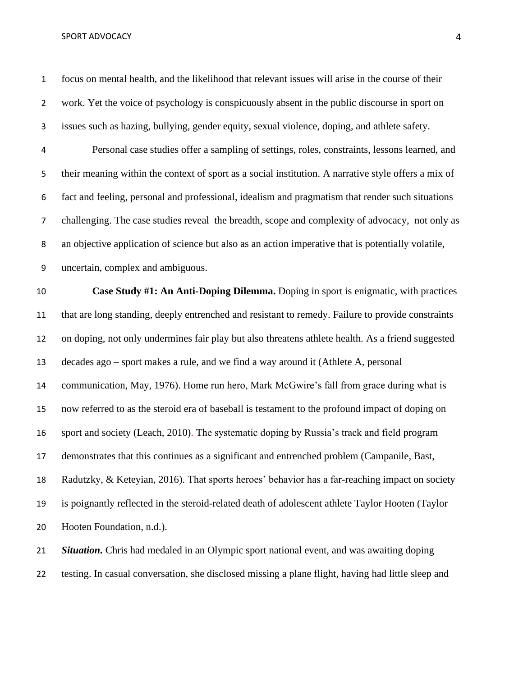#### SPORT ADVOCACY AND ALCOHOLY AND A SERIES AND A SERIES AND A 4 AND A SERIES AND A 4 AND A 4 AND A 5 AND A 4 AND A 5 AND A 5 AND A 5 AND A 5 AND A 5 AND A 5 AND A 5 AND A 5 AND A 5 AND A 5 AND A 5 AND A 5 AND A 5 AND A 5 AND

 focus on mental health, and the likelihood that relevant issues will arise in the course of their work. Yet the voice of psychology is conspicuously absent in the public discourse in sport on issues such as hazing, bullying, gender equity, sexual violence, doping, and athlete safety.

 Personal case studies offer a sampling of settings, roles, constraints, lessons learned, and their meaning within the context of sport as a social institution. A narrative style offers a mix of fact and feeling, personal and professional, idealism and pragmatism that render such situations challenging. The case studies reveal the breadth, scope and complexity of advocacy, not only as an objective application of science but also as an action imperative that is potentially volatile, uncertain, complex and ambiguous.

 **Case Study #1: An Anti-Doping Dilemma.** Doping in sport is enigmatic, with practices that are long standing, deeply entrenched and resistant to remedy. Failure to provide constraints on doping, not only undermines fair play but also threatens athlete health. As a friend suggested decades ago – sport makes a rule, and we find a way around it (Athlete A, personal communication, May, 1976). Home run hero, Mark McGwire's fall from grace during what is now referred to as the steroid era of baseball is testament to the profound impact of doping on sport and society (Leach, 2010). The systematic doping by Russia's track and field program demonstrates that this continues as a significant and entrenched problem (Campanile, Bast, Radutzky, & Keteyian, 2016). That sports heroes' behavior has a far-reaching impact on society is poignantly reflected in the steroid-related death of adolescent athlete Taylor Hooten (Taylor Hooten Foundation, n.d.).

 *Situation.* Chris had medaled in an Olympic sport national event, and was awaiting doping testing. In casual conversation, she disclosed missing a plane flight, having had little sleep and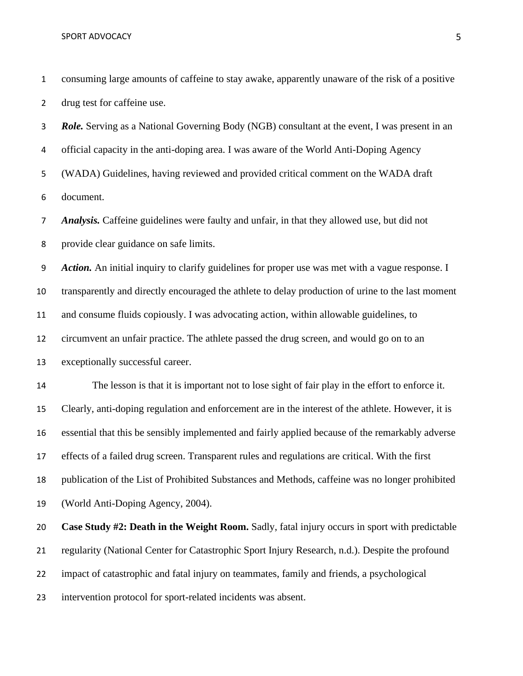consuming large amounts of caffeine to stay awake, apparently unaware of the risk of a positive drug test for caffeine use.

 *Role.* Serving as a National Governing Body (NGB) consultant at the event, I was present in an official capacity in the anti-doping area. I was aware of the World Anti-Doping Agency (WADA) Guidelines, having reviewed and provided critical comment on the WADA draft document.

 *Analysis.* Caffeine guidelines were faulty and unfair, in that they allowed use, but did not provide clear guidance on safe limits.

 *Action.* An initial inquiry to clarify guidelines for proper use was met with a vague response. I transparently and directly encouraged the athlete to delay production of urine to the last moment and consume fluids copiously. I was advocating action, within allowable guidelines, to circumvent an unfair practice. The athlete passed the drug screen, and would go on to an exceptionally successful career.

 The lesson is that it is important not to lose sight of fair play in the effort to enforce it. Clearly, anti-doping regulation and enforcement are in the interest of the athlete. However, it is essential that this be sensibly implemented and fairly applied because of the remarkably adverse effects of a failed drug screen. Transparent rules and regulations are critical. With the first publication of the List of Prohibited Substances and Methods, caffeine was no longer prohibited (World Anti-Doping Agency, 2004).

 **Case Study #2: Death in the Weight Room.** Sadly, fatal injury occurs in sport with predictable regularity (National Center for Catastrophic Sport Injury Research, n.d.). Despite the profound impact of catastrophic and fatal injury on teammates, family and friends, a psychological intervention protocol for sport-related incidents was absent.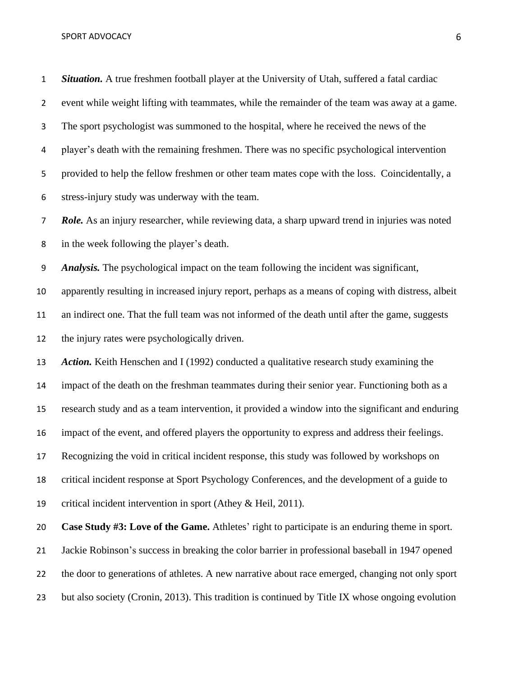#### SPORT ADVOCACY 6 and the set of the set of the set of the set of the set of the set of the set of the set of the set of the set of the set of the set of the set of the set of the set of the set of the set of the set of the

 *Situation.* A true freshmen football player at the University of Utah, suffered a fatal cardiac event while weight lifting with teammates, while the remainder of the team was away at a game. The sport psychologist was summoned to the hospital, where he received the news of the player's death with the remaining freshmen. There was no specific psychological intervention provided to help the fellow freshmen or other team mates cope with the loss. Coincidentally, a stress-injury study was underway with the team. *Role.* As an injury researcher, while reviewing data, a sharp upward trend in injuries was noted in the week following the player's death. *Analysis.* The psychological impact on the team following the incident was significant, apparently resulting in increased injury report, perhaps as a means of coping with distress, albeit an indirect one. That the full team was not informed of the death until after the game, suggests the injury rates were psychologically driven. 13 Action. Keith Henschen and I (1992) conducted a qualitative research study examining the impact of the death on the freshman teammates during their senior year. Functioning both as a research study and as a team intervention, it provided a window into the significant and enduring impact of the event, and offered players the opportunity to express and address their feelings. Recognizing the void in critical incident response, this study was followed by workshops on critical incident response at Sport Psychology Conferences, and the development of a guide to critical incident intervention in sport (Athey & Heil, 2011). **Case Study #3: Love of the Game.** Athletes' right to participate is an enduring theme in sport. Jackie Robinson's success in breaking the color barrier in professional baseball in 1947 opened the door to generations of athletes. A new narrative about race emerged, changing not only sport but also society (Cronin, 2013). This tradition is continued by Title IX whose ongoing evolution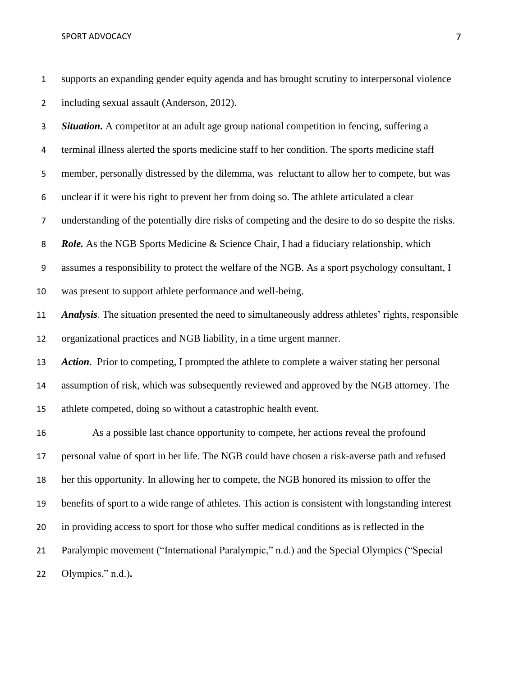supports an expanding gender equity agenda and has brought scrutiny to interpersonal violence including sexual assault (Anderson, 2012). *Situation.* A competitor at an adult age group national competition in fencing, suffering a terminal illness alerted the sports medicine staff to her condition. The sports medicine staff member, personally distressed by the dilemma, was reluctant to allow her to compete, but was unclear if it were his right to prevent her from doing so. The athlete articulated a clear understanding of the potentially dire risks of competing and the desire to do so despite the risks. *Role.* As the NGB Sports Medicine & Science Chair, I had a fiduciary relationship, which assumes a responsibility to protect the welfare of the NGB. As a sport psychology consultant, I was present to support athlete performance and well-being. *Analysis*. The situation presented the need to simultaneously address athletes' rights, responsible organizational practices and NGB liability, in a time urgent manner. *Action*. Prior to competing, I prompted the athlete to complete a waiver stating her personal assumption of risk, which was subsequently reviewed and approved by the NGB attorney. The athlete competed, doing so without a catastrophic health event. As a possible last chance opportunity to compete, her actions reveal the profound personal value of sport in her life. The NGB could have chosen a risk-averse path and refused her this opportunity. In allowing her to compete, the NGB honored its mission to offer the benefits of sport to a wide range of athletes. This action is consistent with longstanding interest in providing access to sport for those who suffer medical conditions as is reflected in the Paralympic movement ("International Paralympic," n.d.) and the Special Olympics ("Special

Olympics," n.d.)**.**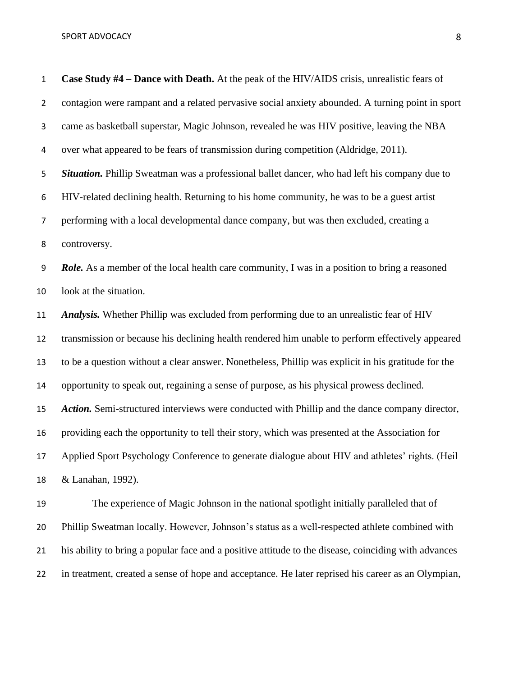**Case Study #4 – Dance with Death.** At the peak of the HIV/AIDS crisis, unrealistic fears of contagion were rampant and a related pervasive social anxiety abounded. A turning point in sport came as basketball superstar, Magic Johnson, revealed he was HIV positive, leaving the NBA over what appeared to be fears of transmission during competition (Aldridge, 2011). *Situation.* Phillip Sweatman was a professional ballet dancer, who had left his company due to HIV-related declining health. Returning to his home community, he was to be a guest artist performing with a local developmental dance company, but was then excluded, creating a controversy. *Role.* As a member of the local health care community, I was in a position to bring a reasoned look at the situation. *Analysis.* Whether Phillip was excluded from performing due to an unrealistic fear of HIV transmission or because his declining health rendered him unable to perform effectively appeared to be a question without a clear answer. Nonetheless, Phillip was explicit in his gratitude for the opportunity to speak out, regaining a sense of purpose, as his physical prowess declined. *Action.* Semi-structured interviews were conducted with Phillip and the dance company director, providing each the opportunity to tell their story, which was presented at the Association for Applied Sport Psychology Conference to generate dialogue about HIV and athletes' rights. (Heil & Lanahan, 1992). The experience of Magic Johnson in the national spotlight initially paralleled that of Phillip Sweatman locally. However, Johnson's status as a well-respected athlete combined with

in treatment, created a sense of hope and acceptance. He later reprised his career as an Olympian,

his ability to bring a popular face and a positive attitude to the disease, coinciding with advances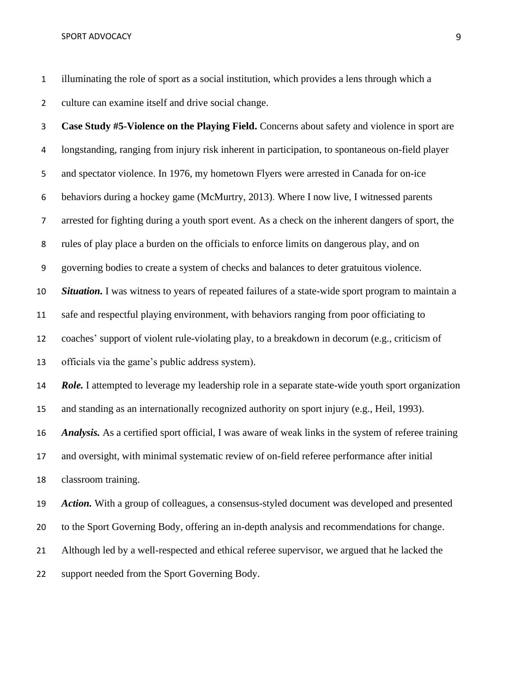illuminating the role of sport as a social institution, which provides a lens through which a culture can examine itself and drive social change.

 **Case Study #5-Violence on the Playing Field.** Concerns about safety and violence in sport are longstanding, ranging from injury risk inherent in participation, to spontaneous on-field player and spectator violence. In 1976, my hometown Flyers were arrested in Canada for on-ice behaviors during a hockey game (McMurtry, 2013). Where I now live, I witnessed parents arrested for fighting during a youth sport event. As a check on the inherent dangers of sport, the rules of play place a burden on the officials to enforce limits on dangerous play, and on governing bodies to create a system of checks and balances to deter gratuitous violence. *Situation.* I was witness to years of repeated failures of a state-wide sport program to maintain a safe and respectful playing environment, with behaviors ranging from poor officiating to coaches' support of violent rule-violating play, to a breakdown in decorum (e.g., criticism of officials via the game's public address system). *Role.* I attempted to leverage my leadership role in a separate state-wide youth sport organization and standing as an internationally recognized authority on sport injury (e.g., Heil, 1993). *Analysis.* As a certified sport official, I was aware of weak links in the system of referee training and oversight, with minimal systematic review of on-field referee performance after initial classroom training. *Action.* With a group of colleagues, a consensus-styled document was developed and presented to the Sport Governing Body, offering an in-depth analysis and recommendations for change. Although led by a well-respected and ethical referee supervisor, we argued that he lacked the support needed from the Sport Governing Body.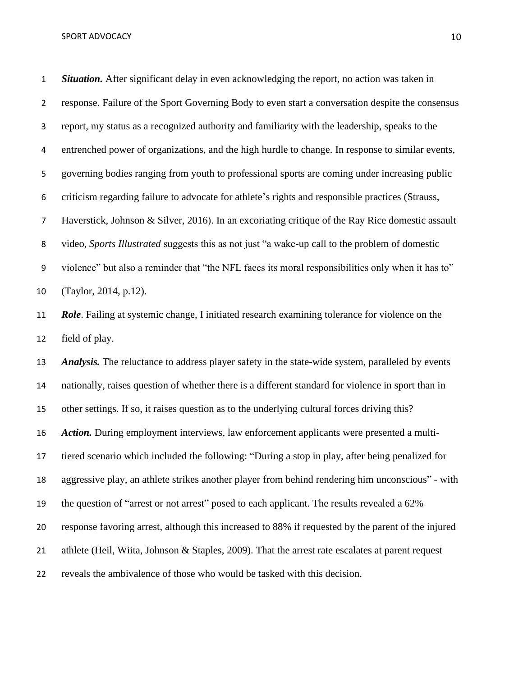*Situation.* After significant delay in even acknowledging the report, no action was taken in response. Failure of the Sport Governing Body to even start a conversation despite the consensus report, my status as a recognized authority and familiarity with the leadership, speaks to the entrenched power of organizations, and the high hurdle to change. In response to similar events, governing bodies ranging from youth to professional sports are coming under increasing public criticism regarding failure to advocate for athlete's rights and responsible practices (Strauss, Haverstick, Johnson & Silver, 2016). In an excoriating critique of the Ray Rice domestic assault video, *Sports Illustrated* suggests this as not just "a wake-up call to the problem of domestic violence" but also a reminder that "the NFL faces its moral responsibilities only when it has to" (Taylor, 2014, p.12). *Role*. Failing at systemic change, I initiated research examining tolerance for violence on the field of play. *Analysis.* The reluctance to address player safety in the state-wide system, paralleled by events nationally, raises question of whether there is a different standard for violence in sport than in other settings. If so, it raises question as to the underlying cultural forces driving this? *Action.* During employment interviews, law enforcement applicants were presented a multi- tiered scenario which included the following: "During a stop in play, after being penalized for aggressive play, an athlete strikes another player from behind rendering him unconscious" - with the question of "arrest or not arrest" posed to each applicant. The results revealed a 62% response favoring arrest, although this increased to 88% if requested by the parent of the injured athlete (Heil, Wiita, Johnson & Staples, 2009). That the arrest rate escalates at parent request reveals the ambivalence of those who would be tasked with this decision.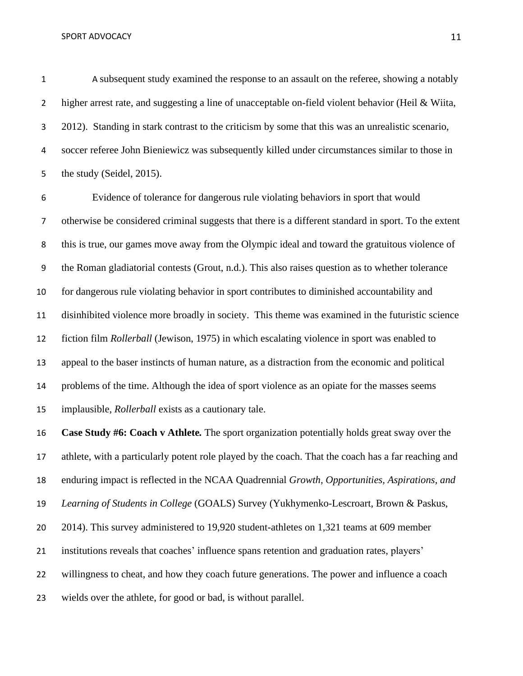SPORT ADVOCACY 2.1 AND 2.0 AND 2.1 AND 2.1 AND 2.1 AND 2.1 AND 2.1 AND 2.1 AND 2.1 AND 2.1 AND 2.1 AND 2.1 AND 2.1 AND 2.1 AND 2.1 AND 2.1 AND 2.1 AND 2.1 AND 2.1 AND 2.1 AND 2.1 AND 2.1 AND 2.1 AND 2.1 AND 2.1 AND 2.1 AND

 A subsequent study examined the response to an assault on the referee, showing a notably 2 higher arrest rate, and suggesting a line of unacceptable on-field violent behavior (Heil & Wiita, 2012). Standing in stark contrast to the criticism by some that this was an unrealistic scenario, soccer referee John Bieniewicz was subsequently killed under circumstances similar to those in 5 the study (Seidel, 2015).

 Evidence of tolerance for dangerous rule violating behaviors in sport that would otherwise be considered criminal suggests that there is a different standard in sport. To the extent this is true, our games move away from the Olympic ideal and toward the gratuitous violence of the Roman gladiatorial contests (Grout, n.d.). This also raises question as to whether tolerance for dangerous rule violating behavior in sport contributes to diminished accountability and disinhibited violence more broadly in society. This theme was examined in the futuristic science fiction film *Rollerball* (Jewison, 1975) in which escalating violence in sport was enabled to appeal to the baser instincts of human nature, as a distraction from the economic and political problems of the time. Although the idea of sport violence as an opiate for the masses seems implausible, *Rollerball* exists as a cautionary tale.

 **Case Study #6: Coach v Athlete***.* The sport organization potentially holds great sway over the athlete, with a particularly potent role played by the coach. That the coach has a far reaching and enduring impact is reflected in the NCAA Quadrennial *Growth, Opportunities, Aspirations, and Learning of Students in College* (GOALS) Survey (Yukhymenko-Lescroart, Brown & Paskus, 2014). This survey administered to 19,920 student-athletes on 1,321 teams at 609 member institutions reveals that coaches' influence spans retention and graduation rates, players' willingness to cheat, and how they coach future generations. The power and influence a coach wields over the athlete, for good or bad, is without parallel.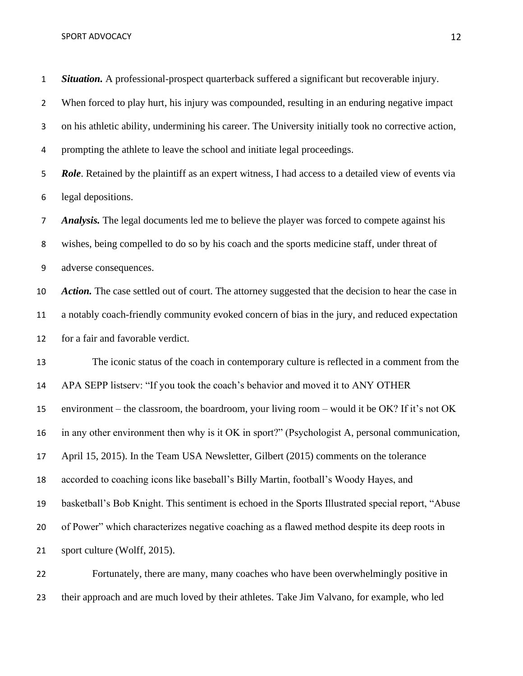#### SPORT ADVOCACY 22 and 22 and 23 and 23 and 23 and 23 and 24 and 25 and 26 and 26 and 26 and 26 and 26 and 27 and 27 and 27 and 27 and 27 and 27 and 27 and 27 and 27 and 27 and 27 and 27 and 27 and 27 and 27 and 27 and 27 a

 *Situation.* A professional-prospect quarterback suffered a significant but recoverable injury. When forced to play hurt, his injury was compounded, resulting in an enduring negative impact on his athletic ability, undermining his career. The University initially took no corrective action, prompting the athlete to leave the school and initiate legal proceedings. *Role*. Retained by the plaintiff as an expert witness, I had access to a detailed view of events via legal depositions. *Analysis.* The legal documents led me to believe the player was forced to compete against his wishes, being compelled to do so by his coach and the sports medicine staff, under threat of adverse consequences. *Action.* The case settled out of court. The attorney suggested that the decision to hear the case in a notably coach-friendly community evoked concern of bias in the jury, and reduced expectation for a fair and favorable verdict. The iconic status of the coach in contemporary culture is reflected in a comment from the APA SEPP listserv: "If you took the coach's behavior and moved it to ANY OTHER environment – the classroom, the boardroom, your living room – would it be OK? If it's not OK in any other environment then why is it OK in sport?" (Psychologist A, personal communication, April 15, 2015). In the Team USA Newsletter, Gilbert (2015) comments on the tolerance accorded to coaching icons like baseball's Billy Martin, football's Woody Hayes, and basketball's Bob Knight. This sentiment is echoed in the Sports Illustrated special report, "Abuse of Power" which characterizes negative coaching as a flawed method despite its deep roots in sport culture (Wolff, 2015). Fortunately, there are many, many coaches who have been overwhelmingly positive in

their approach and are much loved by their athletes. Take Jim Valvano, for example, who led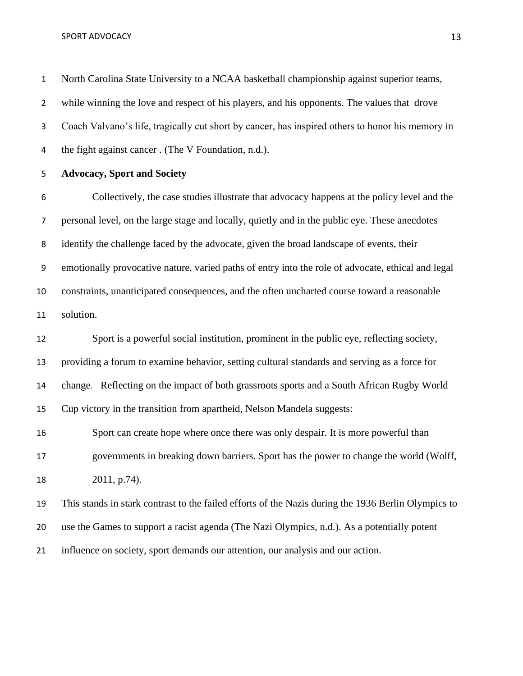North Carolina State University to a NCAA basketball championship against superior teams, 2 while winning the love and respect of his players, and his opponents. The values that drove Coach Valvano's life, tragically cut short by cancer, has inspired others to honor his memory in the fight against cancer . (The V Foundation, n.d.).

**Advocacy, Sport and Society**

 Collectively, the case studies illustrate that advocacy happens at the policy level and the personal level, on the large stage and locally, quietly and in the public eye. These anecdotes identify the challenge faced by the advocate, given the broad landscape of events, their emotionally provocative nature, varied paths of entry into the role of advocate, ethical and legal constraints, unanticipated consequences, and the often uncharted course toward a reasonable solution.

 Sport is a powerful social institution, prominent in the public eye, reflecting society, providing a forum to examine behavior, setting cultural standards and serving as a force for change. Reflecting on the impact of both grassroots sports and a South African Rugby World Cup victory in the transition from apartheid, Nelson Mandela suggests: Sport can create hope where once there was only despair. It is more powerful than governments in breaking down barriers. Sport has the power to change the world (Wolff,

2011, p.74).

 This stands in stark contrast to the failed efforts of the Nazis during the 1936 Berlin Olympics to use the Games to support a racist agenda (The Nazi Olympics, n.d.). As a potentially potent influence on society, sport demands our attention, our analysis and our action.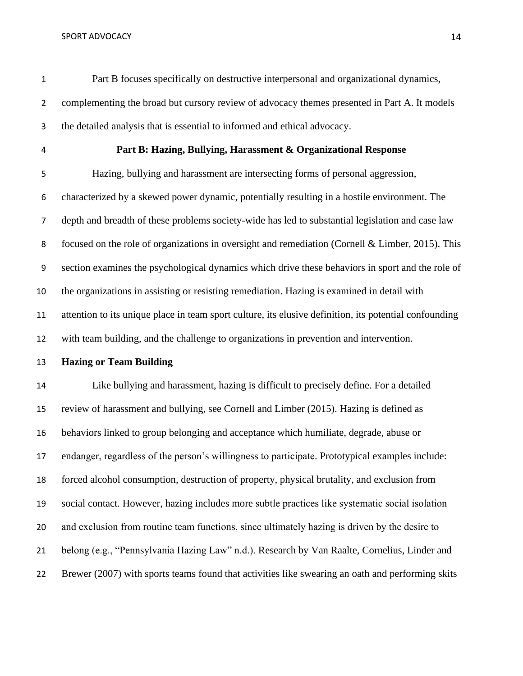Part B focuses specifically on destructive interpersonal and organizational dynamics, 2 complementing the broad but cursory review of advocacy themes presented in Part A. It models the detailed analysis that is essential to informed and ethical advocacy.

## **Part B: Hazing, Bullying, Harassment & Organizational Response**

 Hazing, bullying and harassment are intersecting forms of personal aggression, characterized by a skewed power dynamic, potentially resulting in a hostile environment. The depth and breadth of these problems society-wide has led to substantial legislation and case law focused on the role of organizations in oversight and remediation (Cornell & Limber, 2015). This section examines the psychological dynamics which drive these behaviors in sport and the role of the organizations in assisting or resisting remediation. Hazing is examined in detail with attention to its unique place in team sport culture, its elusive definition, its potential confounding with team building, and the challenge to organizations in prevention and intervention.

**Hazing or Team Building**

 Like bullying and harassment, hazing is difficult to precisely define. For a detailed review of harassment and bullying, see Cornell and Limber (2015). Hazing is defined as behaviors linked to group belonging and acceptance which humiliate, degrade, abuse or endanger, regardless of the person's willingness to participate. Prototypical examples include: forced alcohol consumption, destruction of property, physical brutality, and exclusion from social contact. However, hazing includes more subtle practices like systematic social isolation and exclusion from routine team functions, since ultimately hazing is driven by the desire to belong (e.g., "Pennsylvania Hazing Law" n.d.). Research by Van Raalte, Cornelius, Linder and Brewer (2007) with sports teams found that activities like swearing an oath and performing skits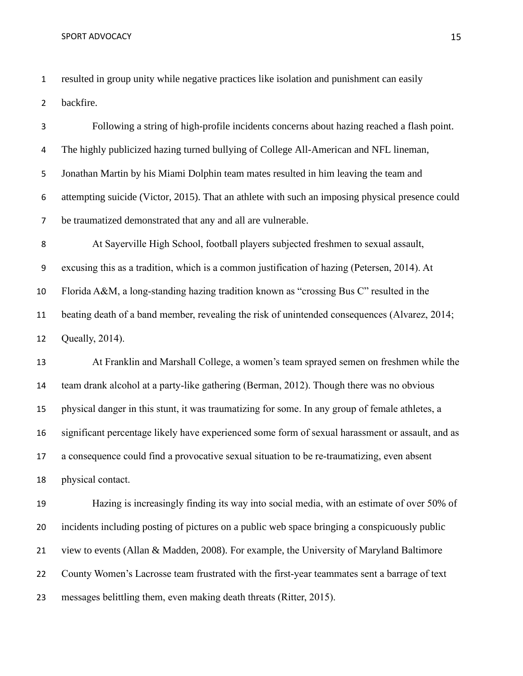resulted in group unity while negative practices like isolation and punishment can easily backfire.

 Following a string of high-profile incidents concerns about hazing reached a flash point. The highly publicized hazing turned bullying of College All-American and NFL lineman, Jonathan Martin by his Miami Dolphin team mates resulted in him leaving the team and attempting suicide (Victor, 2015). That an athlete with such an imposing physical presence could be traumatized demonstrated that any and all are vulnerable. At Sayerville High School, football players subjected freshmen to sexual assault, excusing this as a tradition, which is a common justification of hazing (Petersen, 2014). At Florida A&M, a long-standing hazing tradition known as "crossing Bus C" resulted in the beating death of a band member, revealing the risk of unintended consequences (Alvarez, 2014; Queally, 2014). At Franklin and Marshall College, a women's team sprayed semen on freshmen while the team drank alcohol at a party-like gathering (Berman, 2012). Though there was no obvious physical danger in this stunt, it was traumatizing for some. In any group of female athletes, a significant percentage likely have experienced some form of sexual harassment or assault, and as a consequence could find a provocative sexual situation to be re-traumatizing, even absent physical contact. Hazing is increasingly finding its way into social media, with an estimate of over 50% of incidents including posting of pictures on a public web space bringing a conspicuously public view to events (Allan & Madden, 2008). For example, the University of Maryland Baltimore County Women's Lacrosse team frustrated with the first-year teammates sent a barrage of text

messages belittling them, even making death threats (Ritter, 2015).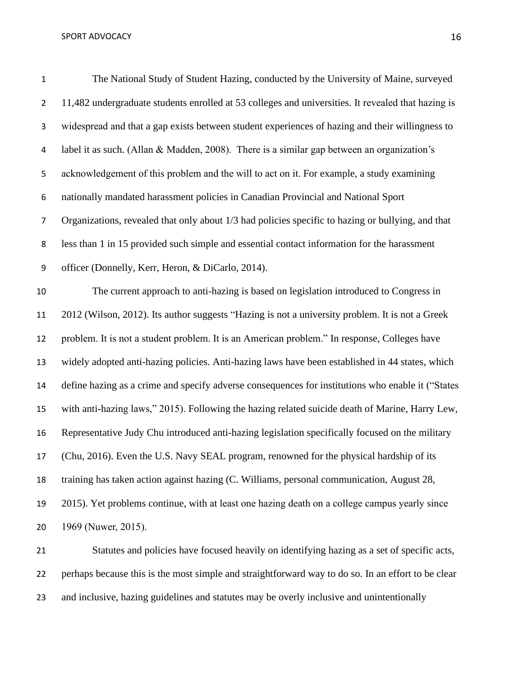| . .          |
|--------------|
| ٠            |
| I<br>×<br>۰, |

| $\mathbf{1}$     | The National Study of Student Hazing, conducted by the University of Maine, surveyed               |
|------------------|----------------------------------------------------------------------------------------------------|
| $\overline{2}$   | 11,482 undergraduate students enrolled at 53 colleges and universities. It revealed that hazing is |
| $\mathsf{3}$     | widespread and that a gap exists between student experiences of hazing and their willingness to    |
| 4                | label it as such. (Allan & Madden, 2008). There is a similar gap between an organization's         |
| 5                | acknowledgement of this problem and the will to act on it. For example, a study examining          |
| 6                | nationally mandated harassment policies in Canadian Provincial and National Sport                  |
| $\overline{7}$   | Organizations, revealed that only about 1/3 had policies specific to hazing or bullying, and that  |
| 8                | less than 1 in 15 provided such simple and essential contact information for the harassment        |
| $\boldsymbol{9}$ | officer (Donnelly, Kerr, Heron, & DiCarlo, 2014).                                                  |
| 10               | The current approach to anti-hazing is based on legislation introduced to Congress in              |
| 11               | 2012 (Wilson, 2012). Its author suggests "Hazing is not a university problem. It is not a Greek    |
| 12               | problem. It is not a student problem. It is an American problem." In response, Colleges have       |
| 13               | widely adopted anti-hazing policies. Anti-hazing laws have been established in 44 states, which    |
| 14               | define hazing as a crime and specify adverse consequences for institutions who enable it ("States  |
| 15               | with anti-hazing laws," 2015). Following the hazing related suicide death of Marine, Harry Lew,    |
| 16               | Representative Judy Chu introduced anti-hazing legislation specifically focused on the military    |
| 17               | (Chu, 2016). Even the U.S. Navy SEAL program, renowned for the physical hardship of its            |
| 18               | training has taken action against hazing (C. Williams, personal communication, August 28,          |
| 19               | 2015). Yet problems continue, with at least one hazing death on a college campus yearly since      |
| 20               | 1969 (Nuwer, 2015).                                                                                |
| 21               | Statutes and policies have focused heavily on identifying hazing as a set of specific acts,        |

 perhaps because this is the most simple and straightforward way to do so. In an effort to be clear and inclusive, hazing guidelines and statutes may be overly inclusive and unintentionally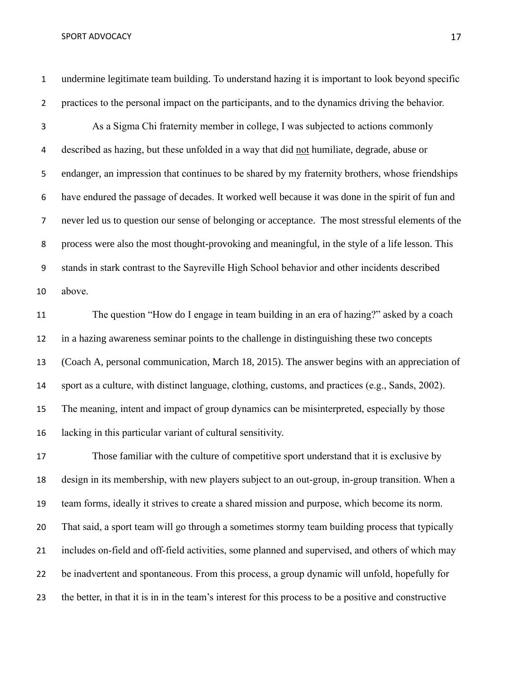undermine legitimate team building. To understand hazing it is important to look beyond specific practices to the personal impact on the participants, and to the dynamics driving the behavior.

 As a Sigma Chi fraternity member in college, I was subjected to actions commonly described as hazing, but these unfolded in a way that did not humiliate, degrade, abuse or endanger, an impression that continues to be shared by my fraternity brothers, whose friendships have endured the passage of decades. It worked well because it was done in the spirit of fun and never led us to question our sense of belonging or acceptance. The most stressful elements of the process were also the most thought-provoking and meaningful, in the style of a life lesson. This stands in stark contrast to the Sayreville High School behavior and other incidents described above.

 The question "How do I engage in team building in an era of hazing?" asked by a coach in a hazing awareness seminar points to the challenge in distinguishing these two concepts (Coach A, personal communication, March 18, 2015). The answer begins with an appreciation of sport as a culture, with distinct language, clothing, customs, and practices (e.g., Sands, 2002). The meaning, intent and impact of group dynamics can be misinterpreted, especially by those lacking in this particular variant of cultural sensitivity.

 Those familiar with the culture of competitive sport understand that it is exclusive by design in its membership, with new players subject to an out-group, in-group transition. When a team forms, ideally it strives to create a shared mission and purpose, which become its norm. That said, a sport team will go through a sometimes stormy team building process that typically includes on-field and off-field activities, some planned and supervised, and others of which may be inadvertent and spontaneous. From this process, a group dynamic will unfold, hopefully for the better, in that it is in in the team's interest for this process to be a positive and constructive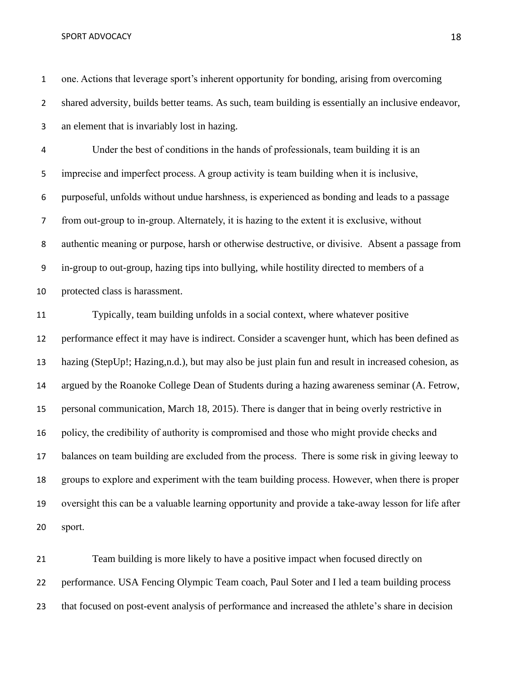one. Actions that leverage sport's inherent opportunity for bonding, arising from overcoming shared adversity, builds better teams. As such, team building is essentially an inclusive endeavor, an element that is invariably lost in hazing. Under the best of conditions in the hands of professionals, team building it is an imprecise and imperfect process. A group activity is team building when it is inclusive, purposeful, unfolds without undue harshness, is experienced as bonding and leads to a passage from out-group to in-group. Alternately, it is hazing to the extent it is exclusive, without authentic meaning or purpose, harsh or otherwise destructive, or divisive. Absent a passage from in-group to out-group, hazing tips into bullying, while hostility directed to members of a protected class is harassment. Typically, team building unfolds in a social context, where whatever positive performance effect it may have is indirect. Consider a scavenger hunt, which has been defined as hazing (StepUp!; Hazing,n.d.), but may also be just plain fun and result in increased cohesion, as argued by the Roanoke College Dean of Students during a hazing awareness seminar (A. Fetrow, personal communication, March 18, 2015). There is danger that in being overly restrictive in policy, the credibility of authority is compromised and those who might provide checks and balances on team building are excluded from the process. There is some risk in giving leeway to groups to explore and experiment with the team building process. However, when there is proper oversight this can be a valuable learning opportunity and provide a take-away lesson for life after sport.

 Team building is more likely to have a positive impact when focused directly on performance. USA Fencing Olympic Team coach, Paul Soter and I led a team building process that focused on post-event analysis of performance and increased the athlete's share in decision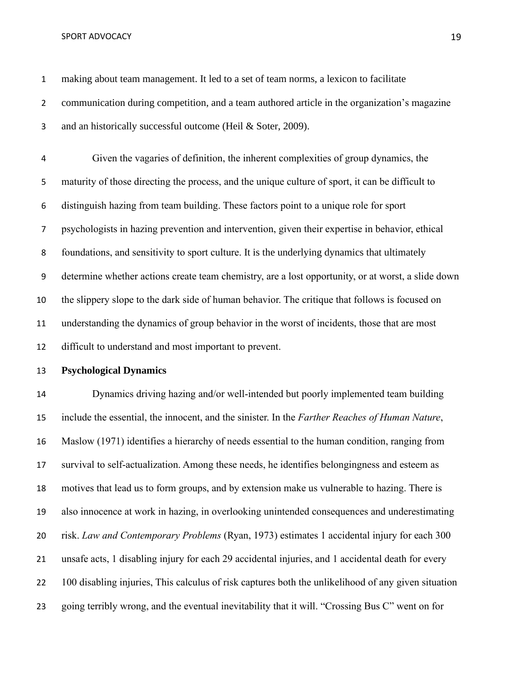- 
- making about team management. It led to a set of team norms, a lexicon to facilitate 2 communication during competition, and a team authored article in the organization's magazine 3 and an historically successful outcome (Heil & Soter, 2009).

 Given the vagaries of definition, the inherent complexities of group dynamics, the maturity of those directing the process, and the unique culture of sport, it can be difficult to distinguish hazing from team building. These factors point to a unique role for sport psychologists in hazing prevention and intervention, given their expertise in behavior, ethical foundations, and sensitivity to sport culture. It is the underlying dynamics that ultimately determine whether actions create team chemistry, are a lost opportunity, or at worst, a slide down the slippery slope to the dark side of human behavior. The critique that follows is focused on understanding the dynamics of group behavior in the worst of incidents, those that are most difficult to understand and most important to prevent.

**Psychological Dynamics**

 Dynamics driving hazing and/or well-intended but poorly implemented team building include the essential, the innocent, and the sinister. In the *Farther Reaches of Human Nature*, Maslow (1971) identifies a hierarchy of needs essential to the human condition, ranging from survival to self-actualization. Among these needs, he identifies belongingness and esteem as motives that lead us to form groups, and by extension make us vulnerable to hazing. There is also innocence at work in hazing, in overlooking unintended consequences and underestimating risk. *Law and Contemporary Problems* (Ryan, 1973) estimates 1 accidental injury for each 300 unsafe acts, 1 disabling injury for each 29 accidental injuries, and 1 accidental death for every 100 disabling injuries, This calculus of risk captures both the unlikelihood of any given situation going terribly wrong, and the eventual inevitability that it will. "Crossing Bus C" went on for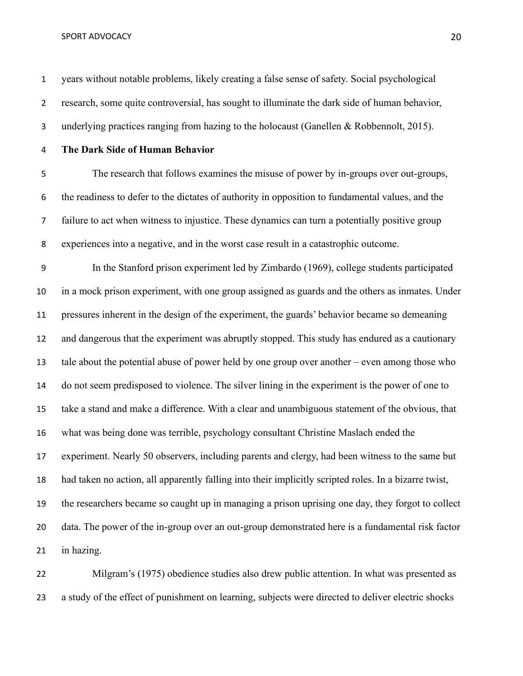years without notable problems, likely creating a false sense of safety. Social psychological research, some quite controversial, has sought to illuminate the dark side of human behavior, 3 underlying practices ranging from hazing to the holocaust (Ganellen & Robbennolt, 2015).

## **The Dark Side of Human Behavior**

 The research that follows examines the misuse of power by in-groups over out-groups, the readiness to defer to the dictates of authority in opposition to fundamental values, and the failure to act when witness to injustice. These dynamics can turn a potentially positive group experiences into a negative, and in the worst case result in a catastrophic outcome.

 In the Stanford prison experiment led by Zimbardo (1969), college students participated in a mock prison experiment, with one group assigned as guards and the others as inmates. Under pressures inherent in the design of the experiment, the guards' behavior became so demeaning and dangerous that the experiment was abruptly stopped. This study has endured as a cautionary tale about the potential abuse of power held by one group over another – even among those who do not seem predisposed to violence. The silver lining in the experiment is the power of one to take a stand and make a difference. With a clear and unambiguous statement of the obvious, that what was being done was terrible, psychology consultant Christine Maslach ended the experiment. Nearly 50 observers, including parents and clergy, had been witness to the same but had taken no action, all apparently falling into their implicitly scripted roles. In a bizarre twist, the researchers became so caught up in managing a prison uprising one day, they forgot to collect data. The power of the in-group over an out-group demonstrated here is a fundamental risk factor in hazing.

 Milgram's (1975) obedience studies also drew public attention. In what was presented as a study of the effect of punishment on learning, subjects were directed to deliver electric shocks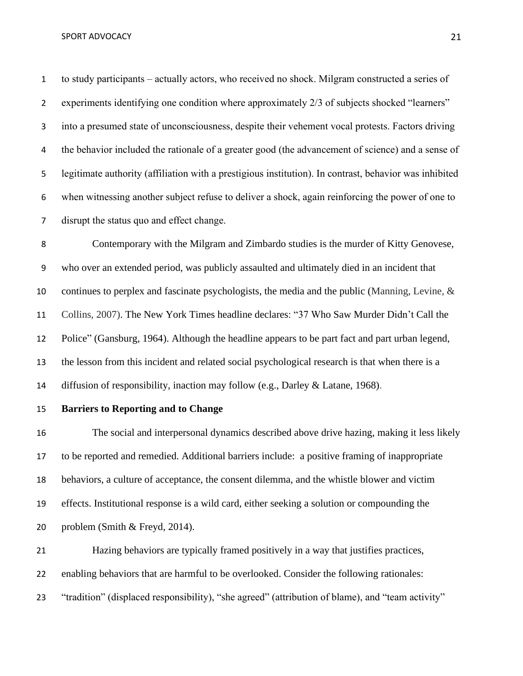to study participants – actually actors, who received no shock. Milgram constructed a series of 2 experiments identifying one condition where approximately 2/3 of subjects shocked "learners" into a presumed state of unconsciousness, despite their vehement vocal protests. Factors driving 4 the behavior included the rationale of a greater good (the advancement of science) and a sense of legitimate authority (affiliation with a prestigious institution). In contrast, behavior was inhibited when witnessing another subject refuse to deliver a shock, again reinforcing the power of one to disrupt the status quo and effect change.

 Contemporary with the Milgram and Zimbardo studies is the murder of Kitty Genovese, who over an extended period, was publicly assaulted and ultimately died in an incident that continues to perplex and fascinate psychologists, the media and the public (Manning, Levine, & Collins, 2007). The New York Times headline declares: "37 Who Saw Murder Didn't Call the Police" (Gansburg, 1964). Although the headline appears to be part fact and part urban legend, the lesson from this incident and related social psychological research is that when there is a diffusion of responsibility, inaction may follow (e.g., Darley & Latane, 1968).

## **Barriers to Reporting and to Change**

 The social and interpersonal dynamics described above drive hazing, making it less likely to be reported and remedied. Additional barriers include: a positive framing of inappropriate behaviors, a culture of acceptance, the consent dilemma, and the whistle blower and victim effects. Institutional response is a wild card, either seeking a solution or compounding the problem (Smith & Freyd, 2014).

 Hazing behaviors are typically framed positively in a way that justifies practices, enabling behaviors that are harmful to be overlooked. Consider the following rationales: "tradition" (displaced responsibility), "she agreed" (attribution of blame), and "team activity"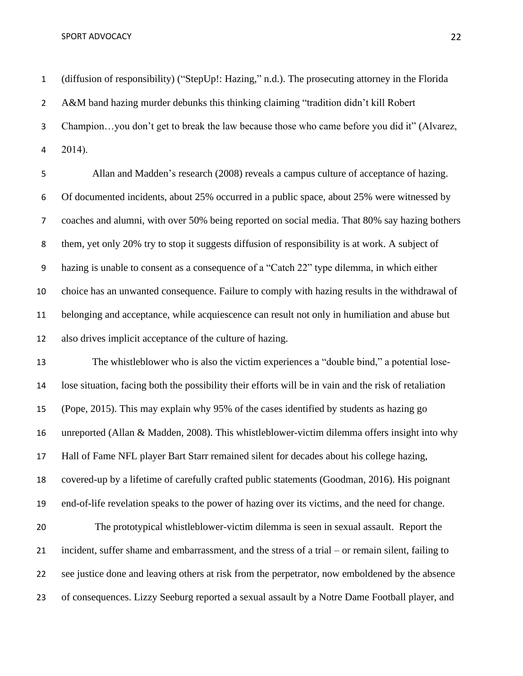(diffusion of responsibility) ("StepUp!: Hazing," n.d.). The prosecuting attorney in the Florida A&M band hazing murder debunks this thinking claiming "tradition didn't kill Robert Champion…you don't get to break the law because those who came before you did it" (Alvarez, 2014).

 Allan and Madden's research (2008) reveals a campus culture of acceptance of hazing. Of documented incidents, about 25% occurred in a public space, about 25% were witnessed by coaches and alumni, with over 50% being reported on social media. That 80% say hazing bothers them, yet only 20% try to stop it suggests diffusion of responsibility is at work. A subject of hazing is unable to consent as a consequence of a "Catch 22" type dilemma, in which either choice has an unwanted consequence. Failure to comply with hazing results in the withdrawal of belonging and acceptance, while acquiescence can result not only in humiliation and abuse but also drives implicit acceptance of the culture of hazing.

 The whistleblower who is also the victim experiences a "double bind," a potential lose- lose situation, facing both the possibility their efforts will be in vain and the risk of retaliation (Pope, 2015). This may explain why 95% of the cases identified by students as hazing go unreported (Allan & Madden, 2008). This whistleblower-victim dilemma offers insight into why Hall of Fame NFL player Bart Starr remained silent for decades about his college hazing, covered-up by a lifetime of carefully crafted public statements (Goodman, 2016). His poignant end-of-life revelation speaks to the power of hazing over its victims, and the need for change. The prototypical whistleblower-victim dilemma is seen in sexual assault. Report the incident, suffer shame and embarrassment, and the stress of a trial – or remain silent, failing to see justice done and leaving others at risk from the perpetrator, now emboldened by the absence

of consequences. Lizzy Seeburg reported a sexual assault by a Notre Dame Football player, and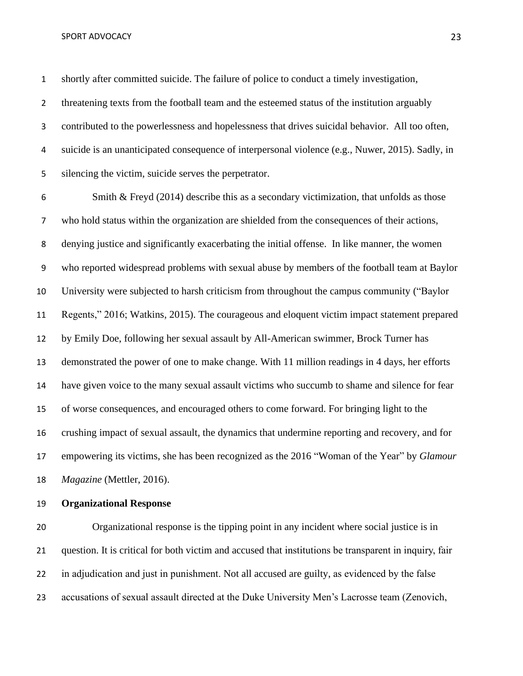shortly after committed suicide. The failure of police to conduct a timely investigation, threatening texts from the football team and the esteemed status of the institution arguably contributed to the powerlessness and hopelessness that drives suicidal behavior. All too often, suicide is an unanticipated consequence of interpersonal violence (e.g., Nuwer, 2015). Sadly, in silencing the victim, suicide serves the perpetrator.

 Smith & Freyd (2014) describe this as a secondary victimization, that unfolds as those who hold status within the organization are shielded from the consequences of their actions, denying justice and significantly exacerbating the initial offense. In like manner, the women who reported widespread problems with sexual abuse by members of the football team at Baylor University were subjected to harsh criticism from throughout the campus community ("Baylor Regents," 2016; Watkins, 2015). The courageous and eloquent victim impact statement prepared by Emily Doe, following her sexual assault by All-American swimmer, Brock Turner has demonstrated the power of one to make change. With 11 million readings in 4 days, her efforts have given voice to the many sexual assault victims who succumb to shame and silence for fear of worse consequences, and encouraged others to come forward. For bringing light to the crushing impact of sexual assault, the dynamics that undermine reporting and recovery, and for empowering its victims, she has been recognized as the 2016 "Woman of the Year" by *Glamour Magazine* (Mettler, 2016).

## **Organizational Response**

 Organizational response is the tipping point in any incident where social justice is in question. It is critical for both victim and accused that institutions be transparent in inquiry, fair in adjudication and just in punishment. Not all accused are guilty, as evidenced by the false accusations of sexual assault directed at the Duke University Men's Lacrosse team (Zenovich,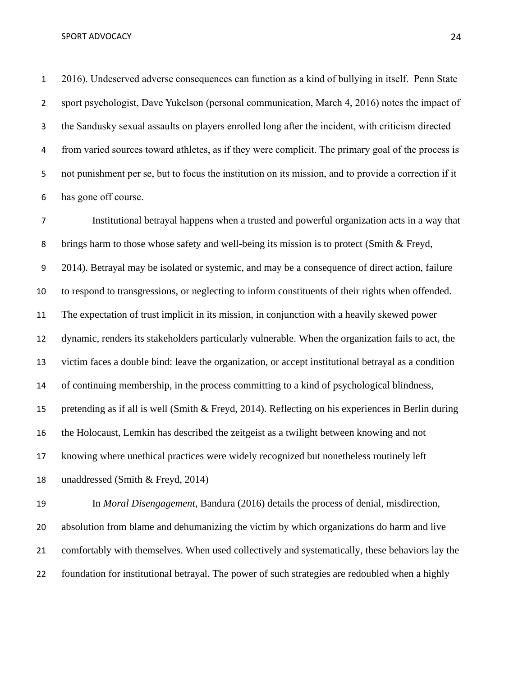2016). Undeserved adverse consequences can function as a kind of bullying in itself. Penn State sport psychologist, Dave Yukelson (personal communication, March 4, 2016) notes the impact of the Sandusky sexual assaults on players enrolled long after the incident, with criticism directed from varied sources toward athletes, as if they were complicit. The primary goal of the process is not punishment per se, but to focus the institution on its mission, and to provide a correction if it has gone off course.

 Institutional betrayal happens when a trusted and powerful organization acts in a way that brings harm to those whose safety and well-being its mission is to protect (Smith & Freyd, 2014). Betrayal may be isolated or systemic, and may be a consequence of direct action, failure to respond to transgressions, or neglecting to inform constituents of their rights when offended. The expectation of trust implicit in its mission, in conjunction with a heavily skewed power dynamic, renders its stakeholders particularly vulnerable. When the organization fails to act, the victim faces a double bind: leave the organization, or accept institutional betrayal as a condition of continuing membership, in the process committing to a kind of psychological blindness, pretending as if all is well (Smith & Freyd, 2014). Reflecting on his experiences in Berlin during the Holocaust, Lemkin has described the zeitgeist as a twilight between knowing and not knowing where unethical practices were widely recognized but nonetheless routinely left unaddressed (Smith & Freyd, 2014)

 In *Moral Disengagement*, Bandura (2016) details the process of denial, misdirection, absolution from blame and dehumanizing the victim by which organizations do harm and live comfortably with themselves. When used collectively and systematically, these behaviors lay the foundation for institutional betrayal. The power of such strategies are redoubled when a highly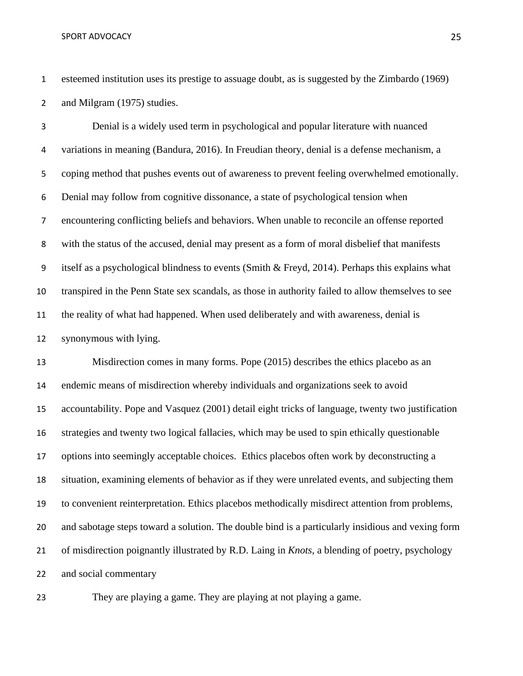esteemed institution uses its prestige to assuage doubt, as is suggested by the Zimbardo (1969) and Milgram (1975) studies.

 Denial is a widely used term in psychological and popular literature with nuanced variations in meaning (Bandura, 2016). In Freudian theory, denial is a defense mechanism, a coping method that pushes events out of awareness to prevent feeling overwhelmed emotionally. Denial may follow from cognitive dissonance, a state of psychological tension when encountering conflicting beliefs and behaviors. When unable to reconcile an offense reported with the status of the accused, denial may present as a form of moral disbelief that manifests itself as a psychological blindness to events (Smith & Freyd, 2014). Perhaps this explains what transpired in the Penn State sex scandals, as those in authority failed to allow themselves to see the reality of what had happened. When used deliberately and with awareness, denial is synonymous with lying.

 Misdirection comes in many forms. Pope (2015) describes the ethics placebo as an endemic means of misdirection whereby individuals and organizations seek to avoid accountability. Pope and Vasquez (2001) detail eight tricks of language, twenty two justification strategies and twenty two logical fallacies, which may be used to spin ethically questionable options into seemingly acceptable choices. Ethics placebos often work by deconstructing a situation, examining elements of behavior as if they were unrelated events, and subjecting them to convenient reinterpretation. Ethics placebos methodically misdirect attention from problems, and sabotage steps toward a solution. The double bind is a particularly insidious and vexing form of misdirection poignantly illustrated by R.D. Laing in *Knots*, a blending of poetry, psychology and social commentary

They are playing a game. They are playing at not playing a game.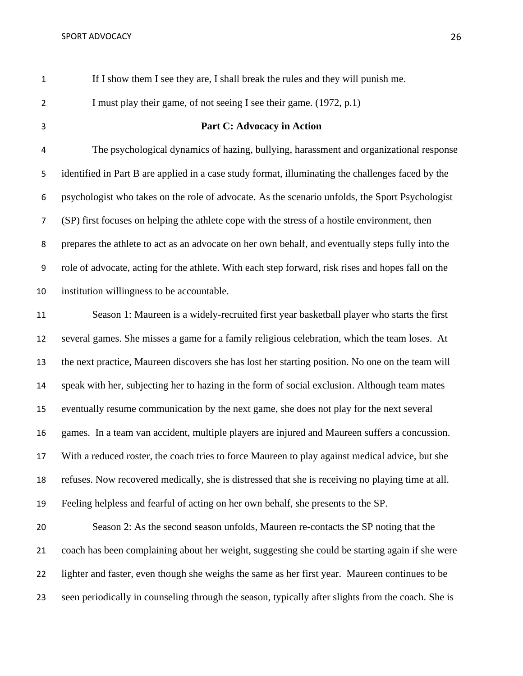If I show them I see they are, I shall break the rules and they will punish me.

2 I must play their game, of not seeing I see their game. (1972, p.1)

# **Part C: Advocacy in Action**

 The psychological dynamics of hazing, bullying, harassment and organizational response identified in Part B are applied in a case study format, illuminating the challenges faced by the psychologist who takes on the role of advocate. As the scenario unfolds, the Sport Psychologist (SP) first focuses on helping the athlete cope with the stress of a hostile environment, then prepares the athlete to act as an advocate on her own behalf, and eventually steps fully into the role of advocate, acting for the athlete. With each step forward, risk rises and hopes fall on the institution willingness to be accountable.

 Season 1: Maureen is a widely-recruited first year basketball player who starts the first several games. She misses a game for a family religious celebration, which the team loses. At the next practice, Maureen discovers she has lost her starting position. No one on the team will speak with her, subjecting her to hazing in the form of social exclusion. Although team mates eventually resume communication by the next game, she does not play for the next several games. In a team van accident, multiple players are injured and Maureen suffers a concussion. With a reduced roster, the coach tries to force Maureen to play against medical advice, but she refuses. Now recovered medically, she is distressed that she is receiving no playing time at all. Feeling helpless and fearful of acting on her own behalf, she presents to the SP.

 Season 2: As the second season unfolds, Maureen re-contacts the SP noting that the coach has been complaining about her weight, suggesting she could be starting again if she were lighter and faster, even though she weighs the same as her first year. Maureen continues to be seen periodically in counseling through the season, typically after slights from the coach. She is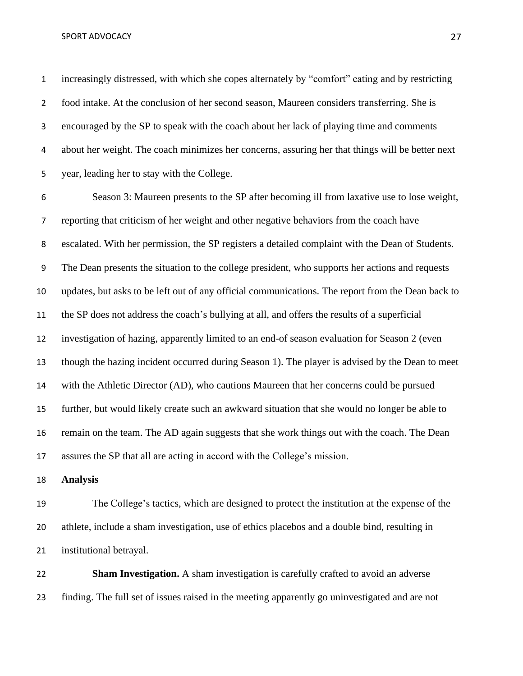increasingly distressed, with which she copes alternately by "comfort" eating and by restricting food intake. At the conclusion of her second season, Maureen considers transferring. She is encouraged by the SP to speak with the coach about her lack of playing time and comments about her weight. The coach minimizes her concerns, assuring her that things will be better next year, leading her to stay with the College.

 Season 3: Maureen presents to the SP after becoming ill from laxative use to lose weight, reporting that criticism of her weight and other negative behaviors from the coach have escalated. With her permission, the SP registers a detailed complaint with the Dean of Students. The Dean presents the situation to the college president, who supports her actions and requests updates, but asks to be left out of any official communications. The report from the Dean back to the SP does not address the coach's bullying at all, and offers the results of a superficial investigation of hazing, apparently limited to an end-of season evaluation for Season 2 (even though the hazing incident occurred during Season 1). The player is advised by the Dean to meet with the Athletic Director (AD), who cautions Maureen that her concerns could be pursued further, but would likely create such an awkward situation that she would no longer be able to remain on the team. The AD again suggests that she work things out with the coach. The Dean assures the SP that all are acting in accord with the College's mission.

**Analysis**

 The College's tactics, which are designed to protect the institution at the expense of the athlete, include a sham investigation, use of ethics placebos and a double bind, resulting in institutional betrayal.

 **Sham Investigation.** A sham investigation is carefully crafted to avoid an adverse finding. The full set of issues raised in the meeting apparently go uninvestigated and are not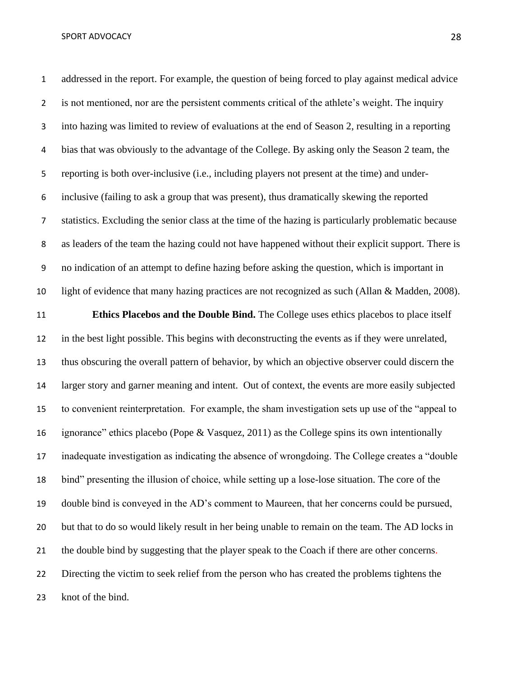addressed in the report. For example, the question of being forced to play against medical advice is not mentioned, nor are the persistent comments critical of the athlete's weight. The inquiry into hazing was limited to review of evaluations at the end of Season 2, resulting in a reporting bias that was obviously to the advantage of the College. By asking only the Season 2 team, the reporting is both over-inclusive (i.e., including players not present at the time) and under- inclusive (failing to ask a group that was present), thus dramatically skewing the reported statistics. Excluding the senior class at the time of the hazing is particularly problematic because as leaders of the team the hazing could not have happened without their explicit support. There is no indication of an attempt to define hazing before asking the question, which is important in light of evidence that many hazing practices are not recognized as such (Allan & Madden, 2008).

 **Ethics Placebos and the Double Bind.** The College uses ethics placebos to place itself in the best light possible. This begins with deconstructing the events as if they were unrelated, thus obscuring the overall pattern of behavior, by which an objective observer could discern the larger story and garner meaning and intent. Out of context, the events are more easily subjected to convenient reinterpretation. For example, the sham investigation sets up use of the "appeal to ignorance" ethics placebo (Pope & Vasquez, 2011) as the College spins its own intentionally inadequate investigation as indicating the absence of wrongdoing. The College creates a "double bind" presenting the illusion of choice, while setting up a lose-lose situation. The core of the double bind is conveyed in the AD's comment to Maureen, that her concerns could be pursued, but that to do so would likely result in her being unable to remain on the team. The AD locks in the double bind by suggesting that the player speak to the Coach if there are other concerns. Directing the victim to seek relief from the person who has created the problems tightens the knot of the bind.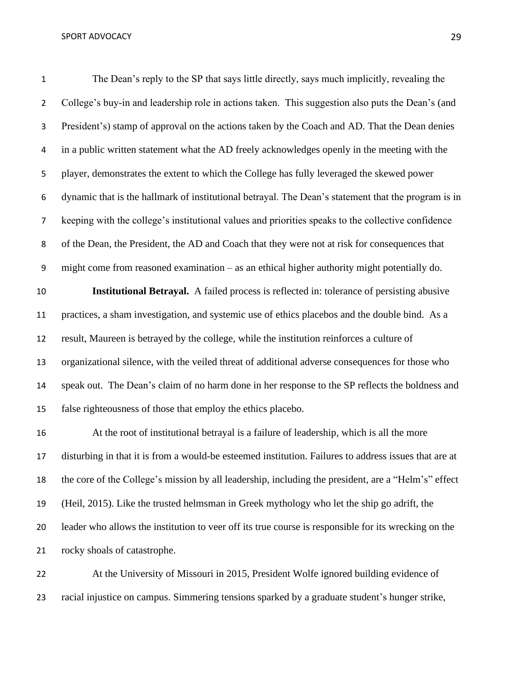The Dean's reply to the SP that says little directly, says much implicitly, revealing the 2 College's buy-in and leadership role in actions taken. This suggestion also puts the Dean's (and President's) stamp of approval on the actions taken by the Coach and AD. That the Dean denies in a public written statement what the AD freely acknowledges openly in the meeting with the player, demonstrates the extent to which the College has fully leveraged the skewed power dynamic that is the hallmark of institutional betrayal. The Dean's statement that the program is in keeping with the college's institutional values and priorities speaks to the collective confidence of the Dean, the President, the AD and Coach that they were not at risk for consequences that might come from reasoned examination – as an ethical higher authority might potentially do. **Institutional Betrayal.** A failed process is reflected in: tolerance of persisting abusive practices, a sham investigation, and systemic use of ethics placebos and the double bind. As a result, Maureen is betrayed by the college, while the institution reinforces a culture of organizational silence, with the veiled threat of additional adverse consequences for those who speak out. The Dean's claim of no harm done in her response to the SP reflects the boldness and

false righteousness of those that employ the ethics placebo.

 At the root of institutional betrayal is a failure of leadership, which is all the more disturbing in that it is from a would-be esteemed institution. Failures to address issues that are at the core of the College's mission by all leadership, including the president, are a "Helm's" effect (Heil, 2015). Like the trusted helmsman in Greek mythology who let the ship go adrift, the leader who allows the institution to veer off its true course is responsible for its wrecking on the rocky shoals of catastrophe.

 At the University of Missouri in 2015, President Wolfe ignored building evidence of racial injustice on campus. Simmering tensions sparked by a graduate student's hunger strike,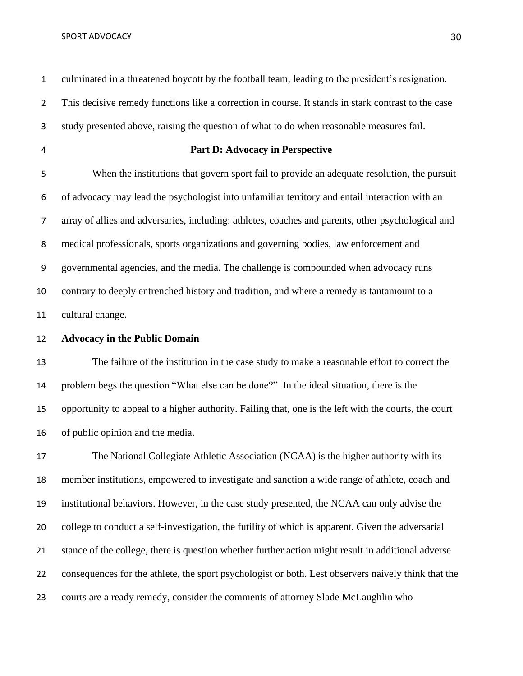culminated in a threatened boycott by the football team, leading to the president's resignation. This decisive remedy functions like a correction in course. It stands in stark contrast to the case study presented above, raising the question of what to do when reasonable measures fail. **Part D: Advocacy in Perspective** When the institutions that govern sport fail to provide an adequate resolution, the pursuit of advocacy may lead the psychologist into unfamiliar territory and entail interaction with an array of allies and adversaries, including: athletes, coaches and parents, other psychological and medical professionals, sports organizations and governing bodies, law enforcement and governmental agencies, and the media. The challenge is compounded when advocacy runs contrary to deeply entrenched history and tradition, and where a remedy is tantamount to a cultural change. **Advocacy in the Public Domain** The failure of the institution in the case study to make a reasonable effort to correct the problem begs the question "What else can be done?" In the ideal situation, there is the opportunity to appeal to a higher authority. Failing that, one is the left with the courts, the court of public opinion and the media. The National Collegiate Athletic Association (NCAA) is the higher authority with its member institutions, empowered to investigate and sanction a wide range of athlete, coach and institutional behaviors. However, in the case study presented, the NCAA can only advise the college to conduct a self-investigation, the futility of which is apparent. Given the adversarial stance of the college, there is question whether further action might result in additional adverse consequences for the athlete, the sport psychologist or both. Lest observers naively think that the courts are a ready remedy, consider the comments of attorney Slade McLaughlin who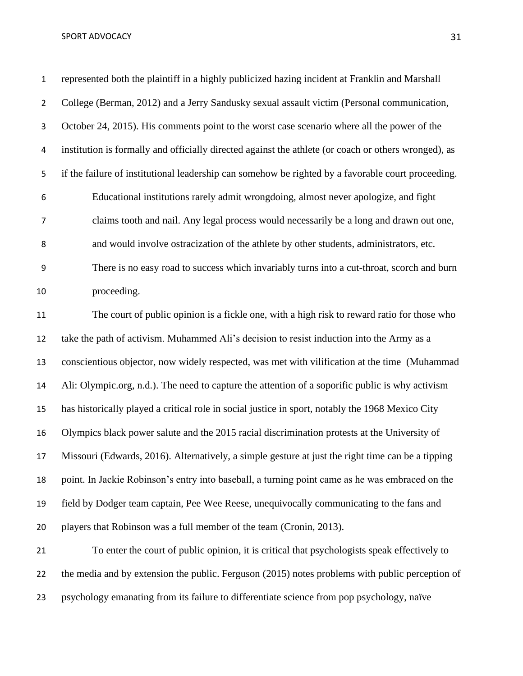represented both the plaintiff in a highly publicized hazing incident at Franklin and Marshall College (Berman, 2012) and a Jerry Sandusky sexual assault victim (Personal communication, October 24, 2015). His comments point to the worst case scenario where all the power of the institution is formally and officially directed against the athlete (or coach or others wronged), as if the failure of institutional leadership can somehow be righted by a favorable court proceeding. Educational institutions rarely admit wrongdoing, almost never apologize, and fight claims tooth and nail. Any legal process would necessarily be a long and drawn out one, and would involve ostracization of the athlete by other students, administrators, etc. There is no easy road to success which invariably turns into a cut-throat, scorch and burn proceeding. The court of public opinion is a fickle one, with a high risk to reward ratio for those who take the path of activism. Muhammed Ali's decision to resist induction into the Army as a conscientious objector, now widely respected, was met with vilification at the time (Muhammad Ali: Olympic.org, n.d.). The need to capture the attention of a soporific public is why activism has historically played a critical role in social justice in sport, notably the 1968 Mexico City Olympics black power salute and the 2015 racial discrimination protests at the University of Missouri (Edwards, 2016). Alternatively, a simple gesture at just the right time can be a tipping point. In Jackie Robinson's entry into baseball, a turning point came as he was embraced on the field by Dodger team captain, Pee Wee Reese, unequivocally communicating to the fans and players that Robinson was a full member of the team (Cronin, 2013). To enter the court of public opinion, it is critical that psychologists speak effectively to the media and by extension the public. Ferguson (2015) notes problems with public perception of

psychology emanating from its failure to differentiate science from pop psychology, naïve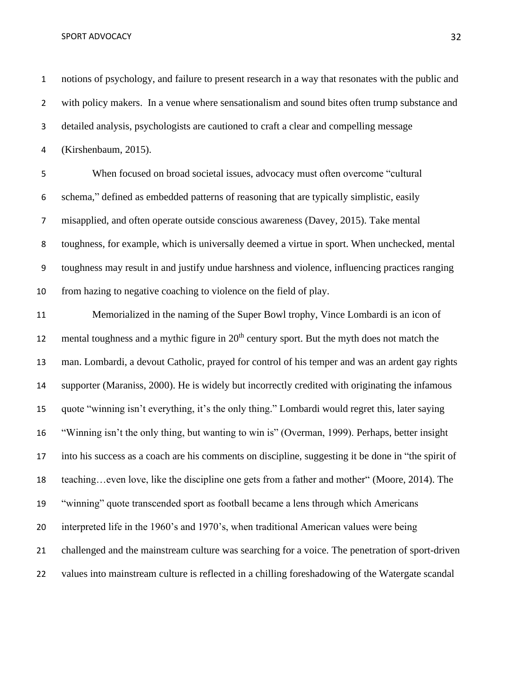notions of psychology, and failure to present research in a way that resonates with the public and with policy makers. In a venue where sensationalism and sound bites often trump substance and detailed analysis, psychologists are cautioned to craft a clear and compelling message (Kirshenbaum, 2015).

 When focused on broad societal issues, advocacy must often overcome "cultural schema," defined as embedded patterns of reasoning that are typically simplistic, easily misapplied, and often operate outside conscious awareness (Davey, 2015). Take mental toughness, for example, which is universally deemed a virtue in sport. When unchecked, mental toughness may result in and justify undue harshness and violence, influencing practices ranging from hazing to negative coaching to violence on the field of play.

 Memorialized in the naming of the Super Bowl trophy, Vince Lombardi is an icon of 12 mental toughness and a mythic figure in  $20<sup>th</sup>$  century sport. But the myth does not match the man. Lombardi, a devout Catholic, prayed for control of his temper and was an ardent gay rights supporter [\(Maraniss, 2000\)](https://en.wikipedia.org/wiki/Vince_Lombardi#CITEREFMaraniss1999). He is widely but incorrectly credited with originating the infamous quote "winning isn't everything, it's the only thing." Lombardi would regret this, later saying "Winning isn't the only thing, but wanting to win is" (Overman, 1999). Perhaps, better insight into his success as a coach are his comments on discipline, suggesting it be done in "the spirit of teaching…even love, like the discipline one gets from a father and mother" (Moore, 2014). The "winning" quote transcended sport as football became a lens through which Americans interpreted life in the 1960's and 1970's, when traditional American values were being challenged and the mainstream culture was searching for a voice. The penetration of sport-driven values into mainstream culture is reflected in a chilling foreshadowing of the Watergate scandal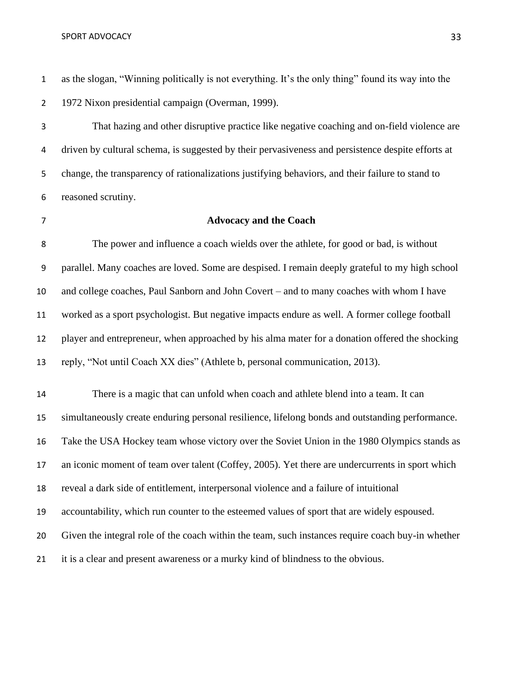as the slogan, "Winning politically is not everything. It's the only thing" found its way into the 1972 Nixon presidential campaign (Overman, 1999).

 That hazing and other disruptive practice like negative coaching and on-field violence are driven by cultural schema, is suggested by their pervasiveness and persistence despite efforts at change, the transparency of rationalizations justifying behaviors, and their failure to stand to reasoned scrutiny.

# **Advocacy and the Coach**

 The power and influence a coach wields over the athlete, for good or bad, is without parallel. Many coaches are loved. Some are despised. I remain deeply grateful to my high school and college coaches, Paul Sanborn and John Covert – and to many coaches with whom I have worked as a sport psychologist. But negative impacts endure as well. A former college football player and entrepreneur, when approached by his alma mater for a donation offered the shocking reply, "Not until Coach XX dies" (Athlete b, personal communication, 2013).

 There is a magic that can unfold when coach and athlete blend into a team. It can simultaneously create enduring personal resilience, lifelong bonds and outstanding performance. Take the USA Hockey team whose victory over the Soviet Union in the 1980 Olympics stands as an iconic moment of team over talent (Coffey, 2005). Yet there are undercurrents in sport which reveal a dark side of entitlement, interpersonal violence and a failure of intuitional accountability, which run counter to the esteemed values of sport that are widely espoused. Given the integral role of the coach within the team, such instances require coach buy-in whether it is a clear and present awareness or a murky kind of blindness to the obvious.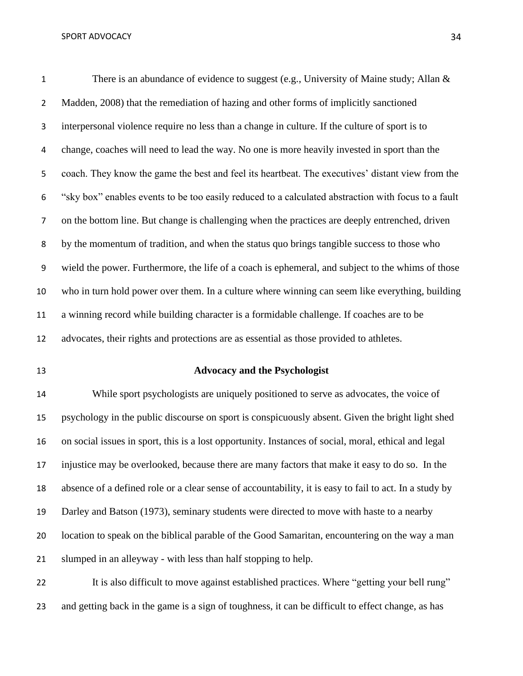1 There is an abundance of evidence to suggest (e.g., University of Maine study; Allan & 2 Madden, 2008) that the remediation of hazing and other forms of implicitly sanctioned interpersonal violence require no less than a change in culture. If the culture of sport is to change, coaches will need to lead the way. No one is more heavily invested in sport than the coach. They know the game the best and feel its heartbeat. The executives' distant view from the "sky box" enables events to be too easily reduced to a calculated abstraction with focus to a fault on the bottom line. But change is challenging when the practices are deeply entrenched, driven by the momentum of tradition, and when the status quo brings tangible success to those who wield the power. Furthermore, the life of a coach is ephemeral, and subject to the whims of those who in turn hold power over them. In a culture where winning can seem like everything, building a winning record while building character is a formidable challenge. If coaches are to be advocates, their rights and protections are as essential as those provided to athletes.

## **Advocacy and the Psychologist**

 While sport psychologists are uniquely positioned to serve as advocates, the voice of psychology in the public discourse on sport is conspicuously absent. Given the bright light shed on social issues in sport, this is a lost opportunity. Instances of social, moral, ethical and legal injustice may be overlooked, because there are many factors that make it easy to do so. In the absence of a defined role or a clear sense of accountability, it is easy to fail to act. In a study by Darley and Batson (1973), seminary students were directed to move with haste to a nearby location to speak on the biblical parable of the Good Samaritan, encountering on the way a man slumped in an alleyway - with less than half stopping to help.

 It is also difficult to move against established practices. Where "getting your bell rung" and getting back in the game is a sign of toughness, it can be difficult to effect change, as has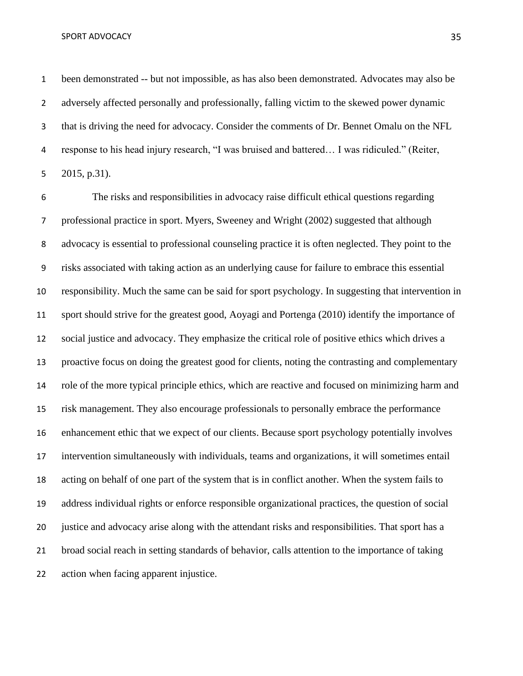been demonstrated -- but not impossible, as has also been demonstrated. Advocates may also be adversely affected personally and professionally, falling victim to the skewed power dynamic that is driving the need for advocacy. Consider the comments of Dr. Bennet Omalu on the NFL response to his head injury research, "I was bruised and battered… I was ridiculed." (Reiter, 2015, p.31).

 The risks and responsibilities in advocacy raise difficult ethical questions regarding professional practice in sport. Myers, Sweeney and Wright (2002) suggested that although advocacy is essential to professional counseling practice it is often neglected. They point to the risks associated with taking action as an underlying cause for failure to embrace this essential responsibility. Much the same can be said for sport psychology. In suggesting that intervention in sport should strive for the greatest good, Aoyagi and Portenga (2010) identify the importance of social justice and advocacy. They emphasize the critical role of positive ethics which drives a proactive focus on doing the greatest good for clients, noting the contrasting and complementary role of the more typical principle ethics, which are reactive and focused on minimizing harm and risk management. They also encourage professionals to personally embrace the performance enhancement ethic that we expect of our clients. Because sport psychology potentially involves intervention simultaneously with individuals, teams and organizations, it will sometimes entail acting on behalf of one part of the system that is in conflict another. When the system fails to address individual rights or enforce responsible organizational practices, the question of social justice and advocacy arise along with the attendant risks and responsibilities. That sport has a broad social reach in setting standards of behavior, calls attention to the importance of taking action when facing apparent injustice.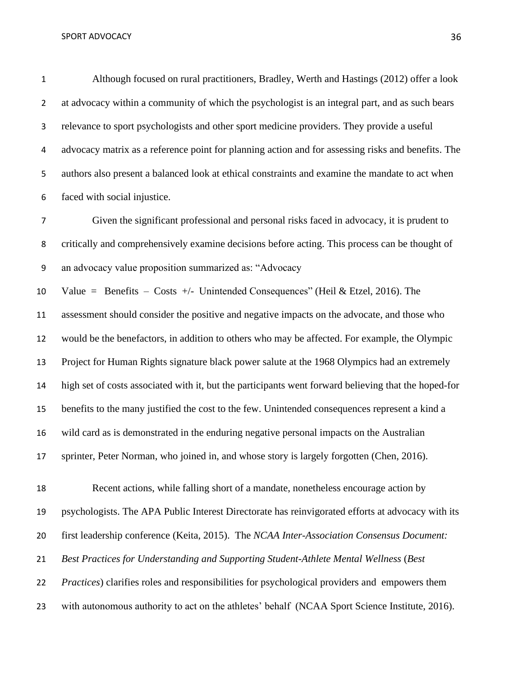Although focused on rural practitioners, Bradley, Werth and Hastings (2012) offer a look at advocacy within a community of which the psychologist is an integral part, and as such bears relevance to sport psychologists and other sport medicine providers. They provide a useful advocacy matrix as a reference point for planning action and for assessing risks and benefits. The authors also present a balanced look at ethical constraints and examine the mandate to act when faced with social injustice.

 Given the significant professional and personal risks faced in advocacy, it is prudent to critically and comprehensively examine decisions before acting. This process can be thought of an advocacy value proposition summarized as: "Advocacy

10 Value = Benefits – Costs +/- Unintended Consequences" (Heil & Etzel, 2016). The

 assessment should consider the positive and negative impacts on the advocate, and those who would be the benefactors, in addition to others who may be affected. For example, the Olympic Project for Human Rights signature black power salute at the 1968 Olympics had an extremely high set of costs associated with it, but the participants went forward believing that the hoped-for benefits to the many justified the cost to the few. Unintended consequences represent a kind a wild card as is demonstrated in the enduring negative personal impacts on the Australian 17 sprinter, Peter Norman, who joined in, and whose story is largely forgotten (Chen, 2016).

 Recent actions, while falling short of a mandate, nonetheless encourage action by psychologists. The APA Public Interest Directorate has reinvigorated efforts at advocacy with its first leadership conference (Keita, 2015). The *NCAA Inter-Association Consensus Document: Best Practices for Understanding and Supporting Student-Athlete Mental Wellness* (*Best Practices*) clarifies roles and responsibilities for psychological providers and empowers them 23 with autonomous authority to act on the athletes' behalf (NCAA Sport Science Institute, 2016).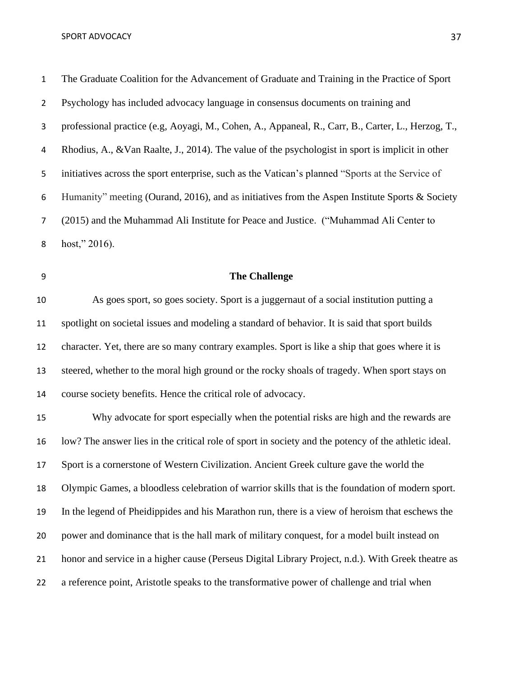The Graduate Coalition for the Advancement of Graduate and Training in the Practice of Sport Psychology has included advocacy language in consensus documents on training and professional practice (e.g, Aoyagi, M., Cohen, A., Appaneal, R., Carr, B., Carter, L., Herzog, T., Rhodius, A., &Van Raalte, J., 2014). The value of the psychologist in sport is implicit in other initiatives across the sport enterprise, such as the Vatican's planned "Sports at the Service of Humanity" meeting (Ourand, 2016), and as initiatives from the Aspen Institute Sports & Society (2015) and the Muhammad Ali Institute for Peace and Justice. ("Muhammad Ali Center to host," 2016).

## **The Challenge**

 As goes sport, so goes society. Sport is a juggernaut of a social institution putting a spotlight on societal issues and modeling a standard of behavior. It is said that sport builds character. Yet, there are so many contrary examples. Sport is like a ship that goes where it is steered, whether to the moral high ground or the rocky shoals of tragedy. When sport stays on course society benefits. Hence the critical role of advocacy.

 Why advocate for sport especially when the potential risks are high and the rewards are low? The answer lies in the critical role of sport in society and the potency of the athletic ideal. Sport is a cornerstone of Western Civilization. Ancient Greek culture gave the world the Olympic Games, a bloodless celebration of warrior skills that is the foundation of modern sport. In the legend of Pheidippides and his Marathon run, there is a view of heroism that eschews the power and dominance that is the hall mark of military conquest, for a model built instead on honor and service in a higher cause (Perseus Digital Library Project, n.d.). With Greek theatre as a reference point, Aristotle speaks to the transformative power of challenge and trial when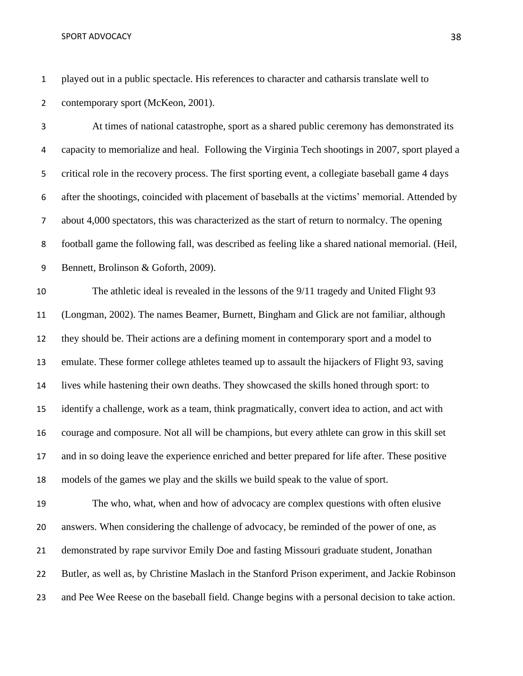played out in a public spectacle. His references to character and catharsis translate well to contemporary sport (McKeon, 2001).

 At times of national catastrophe, sport as a shared public ceremony has demonstrated its capacity to memorialize and heal. Following the Virginia Tech shootings in 2007, sport played a critical role in the recovery process. The first sporting event, a collegiate baseball game 4 days after the shootings, coincided with placement of baseballs at the victims' memorial. Attended by about 4,000 spectators, this was characterized as the start of return to normalcy. The opening football game the following fall, was described as feeling like a shared national memorial. (Heil, Bennett, Brolinson & Goforth, 2009).

 The athletic ideal is revealed in the lessons of the 9/11 tragedy and United Flight 93 (Longman, 2002). The names Beamer, Burnett, Bingham and Glick are not familiar, although they should be. Their actions are a defining moment in contemporary sport and a model to emulate. These former college athletes teamed up to assault the hijackers of Flight 93, saving lives while hastening their own deaths. They showcased the skills honed through sport: to identify a challenge, work as a team, think pragmatically, convert idea to action, and act with courage and composure. Not all will be champions, but every athlete can grow in this skill set and in so doing leave the experience enriched and better prepared for life after. These positive models of the games we play and the skills we build speak to the value of sport.

 The who, what, when and how of advocacy are complex questions with often elusive answers. When considering the challenge of advocacy, be reminded of the power of one, as demonstrated by rape survivor Emily Doe and fasting Missouri graduate student, Jonathan Butler, as well as, by Christine Maslach in the Stanford Prison experiment, and Jackie Robinson and Pee Wee Reese on the baseball field. Change begins with a personal decision to take action.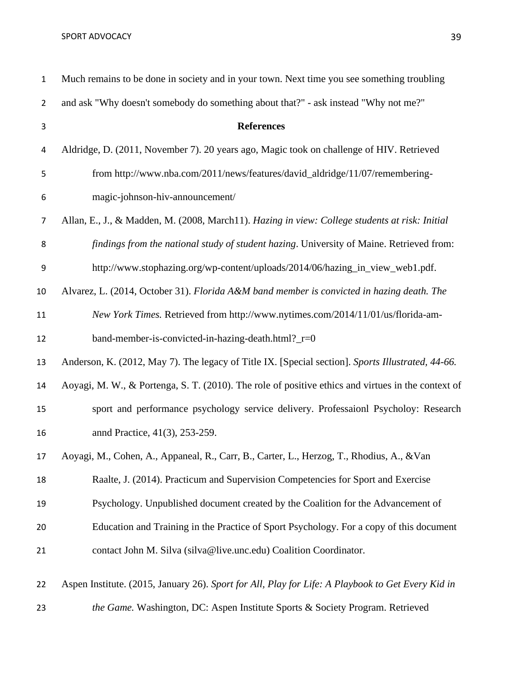| $\mathbf{1}$   | Much remains to be done in society and in your town. Next time you see something troubling         |
|----------------|----------------------------------------------------------------------------------------------------|
| $\overline{2}$ | and ask "Why doesn't somebody do something about that?" - ask instead "Why not me?"                |
| 3              | <b>References</b>                                                                                  |
| 4              | Aldridge, D. (2011, November 7). 20 years ago, Magic took on challenge of HIV. Retrieved           |
| 5              | from http://www.nba.com/2011/news/features/david_aldridge/11/07/remembering-                       |
| 6              | magic-johnson-hiv-announcement/                                                                    |
| $\overline{7}$ | Allan, E., J., & Madden, M. (2008, March11). Hazing in view: College students at risk: Initial     |
| 8              | findings from the national study of student hazing. University of Maine. Retrieved from:           |
| 9              | http://www.stophazing.org/wp-content/uploads/2014/06/hazing_in_view_web1.pdf.                      |
| 10             | Alvarez, L. (2014, October 31). Florida A&M band member is convicted in hazing death. The          |
| 11             | New York Times. Retrieved from http://www.nytimes.com/2014/11/01/us/florida-am-                    |
| 12             | band-member-is-convicted-in-hazing-death.html?_r=0                                                 |
| 13             | Anderson, K. (2012, May 7). The legacy of Title IX. [Special section]. Sports Illustrated, 44-66.  |
| 14             | Aoyagi, M. W., & Portenga, S. T. (2010). The role of positive ethics and virtues in the context of |
| 15             | sport and performance psychology service delivery. Professaionl Psycholoy: Research                |
| 16             | annd Practice, 41(3), 253-259.                                                                     |
| 17             | Aoyagi, M., Cohen, A., Appaneal, R., Carr, B., Carter, L., Herzog, T., Rhodius, A., & Van          |
| 18             | Raalte, J. (2014). Practicum and Supervision Competencies for Sport and Exercise                   |
| 19             | Psychology. Unpublished document created by the Coalition for the Advancement of                   |
| 20             | Education and Training in the Practice of Sport Psychology. For a copy of this document            |
| 21             | contact John M. Silva (silva@live.unc.edu) Coalition Coordinator.                                  |
| 22             | Aspen Institute. (2015, January 26). Sport for All, Play for Life: A Playbook to Get Every Kid in  |

*the Game.* Washington, DC: Aspen Institute Sports & Society Program. Retrieved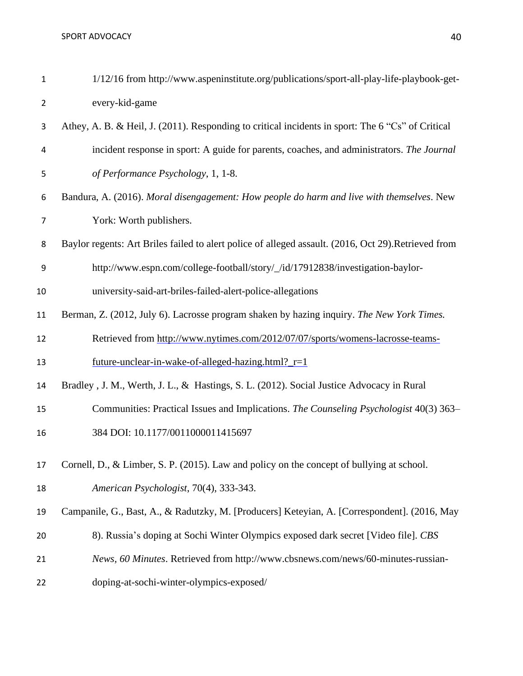| $\mathbf{1}$   | 1/12/16 from http://www.aspeninstitute.org/publications/sport-all-play-life-playbook-get-           |
|----------------|-----------------------------------------------------------------------------------------------------|
| $\overline{2}$ | every-kid-game                                                                                      |
| 3              | Athey, A. B. & Heil, J. (2011). Responding to critical incidents in sport: The 6 "Cs" of Critical   |
| 4              | incident response in sport: A guide for parents, coaches, and administrators. The Journal           |
| 5              | of Performance Psychology, 1, 1-8.                                                                  |
| 6              | Bandura, A. (2016). Moral disengagement: How people do harm and live with themselves. New           |
| $\overline{7}$ | York: Worth publishers.                                                                             |
| 8              | Baylor regents: Art Briles failed to alert police of alleged assault. (2016, Oct 29).Retrieved from |
| 9              | http://www.espn.com/college-football/story/_/id/17912838/investigation-baylor-                      |
| 10             | university-said-art-briles-failed-alert-police-allegations                                          |
| 11             | Berman, Z. (2012, July 6). Lacrosse program shaken by hazing inquiry. The New York Times.           |
| 12             | Retrieved from http://www.nytimes.com/2012/07/07/sports/womens-lacrosse-teams-                      |
| 13             | future-unclear-in-wake-of-alleged-hazing.html? $r=1$                                                |
| 14             | Bradley, J. M., Werth, J. L., & Hastings, S. L. (2012). Social Justice Advocacy in Rural            |
| 15             | Communities: Practical Issues and Implications. The Counseling Psychologist 40(3) 363-              |
| 16             | 384 DOI: 10.1177/0011000011415697                                                                   |
| 17             | Cornell, D., & Limber, S. P. (2015). Law and policy on the concept of bullying at school.           |
| 18             | American Psychologist, 70(4), 333-343.                                                              |
| 19             | Campanile, G., Bast, A., & Radutzky, M. [Producers] Keteyian, A. [Correspondent]. (2016, May        |
| 20             | 8). Russia's doping at Sochi Winter Olympics exposed dark secret [Video file]. CBS                  |
| 21             | News, 60 Minutes. Retrieved from http://www.cbsnews.com/news/60-minutes-russian-                    |
| 22             | doping-at-sochi-winter-olympics-exposed/                                                            |
|                |                                                                                                     |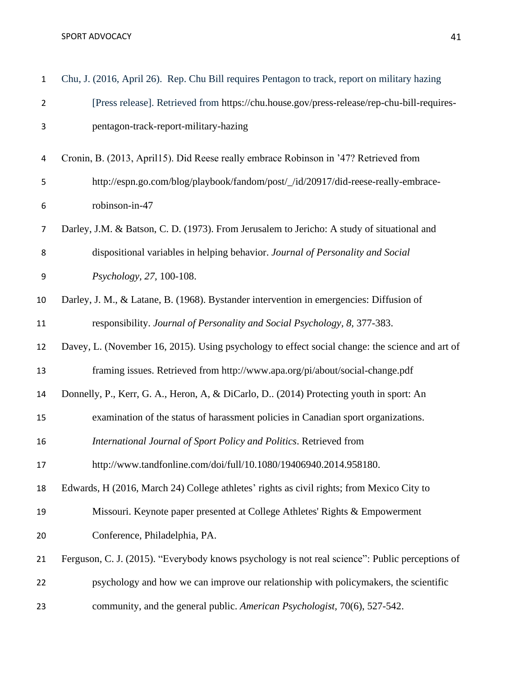| $\mathbf{1}$   | Chu, J. (2016, April 26). Rep. Chu Bill requires Pentagon to track, report on military hazing   |
|----------------|-------------------------------------------------------------------------------------------------|
| $\overline{2}$ | [Press release]. Retrieved from https://chu.house.gov/press-release/rep-chu-bill-requires-      |
| 3              | pentagon-track-report-military-hazing                                                           |
| 4              | Cronin, B. (2013, April15). Did Reese really embrace Robinson in '47? Retrieved from            |
| 5              | http://espn.go.com/blog/playbook/fandom/post/_/id/20917/did-reese-really-embrace-               |
| 6              | robinson-in-47                                                                                  |
| $\overline{7}$ | Darley, J.M. & Batson, C.D. (1973). From Jerusalem to Jericho: A study of situational and       |
| 8              | dispositional variables in helping behavior. Journal of Personality and Social                  |
| 9              | Psychology, 27, 100-108.                                                                        |
| 10             | Darley, J. M., & Latane, B. (1968). Bystander intervention in emergencies: Diffusion of         |
| 11             | responsibility. Journal of Personality and Social Psychology, 8, 377-383.                       |
| 12             | Davey, L. (November 16, 2015). Using psychology to effect social change: the science and art of |
| 13             | framing issues. Retrieved from http://www.apa.org/pi/about/social-change.pdf                    |
| 14             | Donnelly, P., Kerr, G. A., Heron, A, & DiCarlo, D (2014) Protecting youth in sport: An          |
| 15             | examination of the status of harassment policies in Canadian sport organizations.               |
| 16             | International Journal of Sport Policy and Politics. Retrieved from                              |
| 17             | http://www.tandfonline.com/doi/full/10.1080/19406940.2014.958180.                               |
| 18             | Edwards, H (2016, March 24) College athletes' rights as civil rights; from Mexico City to       |
| 19             | Missouri. Keynote paper presented at College Athletes' Rights & Empowerment                     |
| 20             | Conference, Philadelphia, PA.                                                                   |
| 21             | Ferguson, C. J. (2015). "Everybody knows psychology is not real science": Public perceptions of |
| 22             | psychology and how we can improve our relationship with policymakers, the scientific            |
| 23             | community, and the general public. American Psychologist, 70(6), 527-542.                       |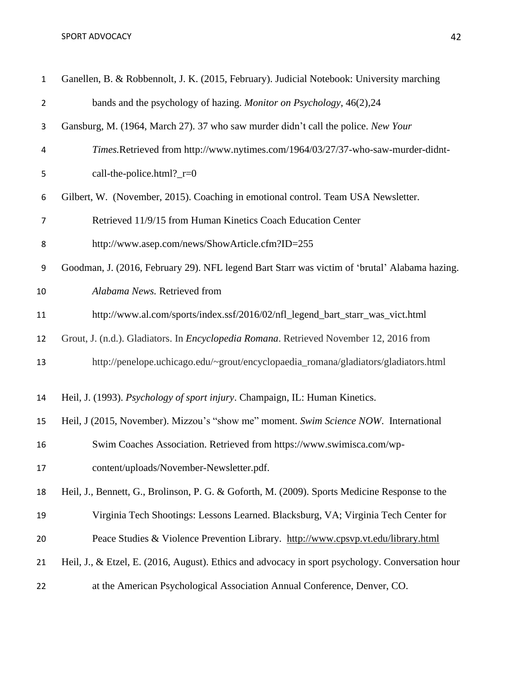| $\mathbf{1}$     | Ganellen, B. & Robbennolt, J. K. (2015, February). Judicial Notebook: University marching        |
|------------------|--------------------------------------------------------------------------------------------------|
| $\overline{2}$   | bands and the psychology of hazing. Monitor on Psychology, 46(2),24                              |
| 3                | Gansburg, M. (1964, March 27). 37 who saw murder didn't call the police. New Your                |
| 4                | Times.Retrieved from http://www.nytimes.com/1964/03/27/37-who-saw-murder-didnt-                  |
| 5                | call-the-police.html?_r=0                                                                        |
| 6                | Gilbert, W. (November, 2015). Coaching in emotional control. Team USA Newsletter.                |
| 7                | Retrieved 11/9/15 from Human Kinetics Coach Education Center                                     |
| 8                | http://www.asep.com/news/ShowArticle.cfm?ID=255                                                  |
| $\boldsymbol{9}$ | Goodman, J. (2016, February 29). NFL legend Bart Starr was victim of 'brutal' Alabama hazing.    |
| 10               | Alabama News. Retrieved from                                                                     |
| 11               | http://www.al.com/sports/index.ssf/2016/02/nfl_legend_bart_starr_was_vict.html                   |
| 12               | Grout, J. (n.d.). Gladiators. In <i>Encyclopedia Romana</i> . Retrieved November 12, 2016 from   |
| 13               | http://penelope.uchicago.edu/~grout/encyclopaedia_romana/gladiators/gladiators.html              |
| 14               | Heil, J. (1993). Psychology of sport injury. Champaign, IL: Human Kinetics.                      |
| 15               | Heil, J (2015, November). Mizzou's "show me" moment. Swim Science NOW. International             |
| 16               | Swim Coaches Association. Retrieved from https://www.swimisca.com/wp-                            |
| 17               | content/uploads/November-Newsletter.pdf.                                                         |
| 18               | Heil, J., Bennett, G., Brolinson, P. G. & Goforth, M. (2009). Sports Medicine Response to the    |
| 19               | Virginia Tech Shootings: Lessons Learned. Blacksburg, VA; Virginia Tech Center for               |
| 20               | Peace Studies & Violence Prevention Library. http://www.cpsvp.vt.edu/library.html                |
| 21               | Heil, J., & Etzel, E. (2016, August). Ethics and advocacy in sport psychology. Conversation hour |
| 22               | at the American Psychological Association Annual Conference, Denver, CO.                         |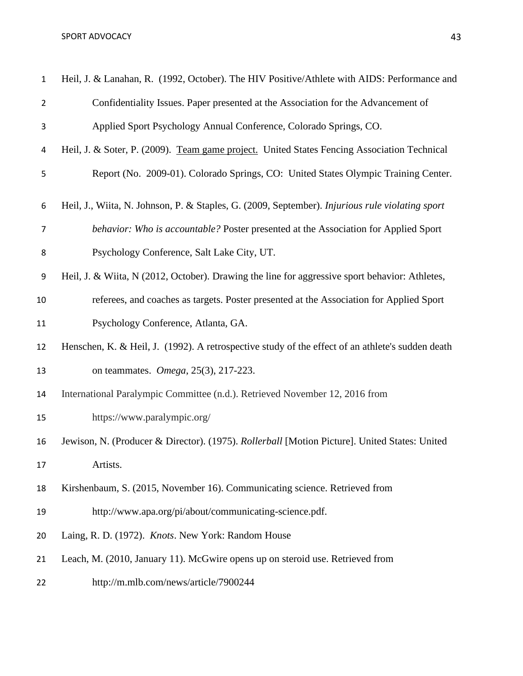| $\mathbf 1$    | Heil, J. & Lanahan, R. (1992, October). The HIV Positive/Athlete with AIDS: Performance and      |
|----------------|--------------------------------------------------------------------------------------------------|
| $\overline{2}$ | Confidentiality Issues. Paper presented at the Association for the Advancement of                |
| 3              | Applied Sport Psychology Annual Conference, Colorado Springs, CO.                                |
| 4              | Heil, J. & Soter, P. (2009). Team game project. United States Fencing Association Technical      |
| 5              | Report (No. 2009-01). Colorado Springs, CO: United States Olympic Training Center.               |
| 6              | Heil, J., Wiita, N. Johnson, P. & Staples, G. (2009, September). Injurious rule violating sport  |
| $\overline{7}$ | behavior: Who is accountable? Poster presented at the Association for Applied Sport              |
| 8              | Psychology Conference, Salt Lake City, UT.                                                       |
| 9              | Heil, J. & Wiita, N (2012, October). Drawing the line for aggressive sport behavior: Athletes,   |
| 10             | referees, and coaches as targets. Poster presented at the Association for Applied Sport          |
| 11             | Psychology Conference, Atlanta, GA.                                                              |
| 12             | Henschen, K. & Heil, J. (1992). A retrospective study of the effect of an athlete's sudden death |
| 13             | on teammates. <i>Omega</i> , 25(3), 217-223.                                                     |
| 14             | International Paralympic Committee (n.d.). Retrieved November 12, 2016 from                      |
| 15             | https://www.paralympic.org/                                                                      |
| 16             | Jewison, N. (Producer & Director). (1975). Rollerball [Motion Picture]. United States: United    |
| 17             | Artists.                                                                                         |
| 18             | Kirshenbaum, S. (2015, November 16). Communicating science. Retrieved from                       |
| 19             | http://www.apa.org/pi/about/communicating-science.pdf.                                           |
| 20             | Laing, R. D. (1972). Knots. New York: Random House                                               |
| 21             | Leach, M. (2010, January 11). McGwire opens up on steroid use. Retrieved from                    |
| 22             | http://m.mlb.com/news/article/7900244                                                            |
|                |                                                                                                  |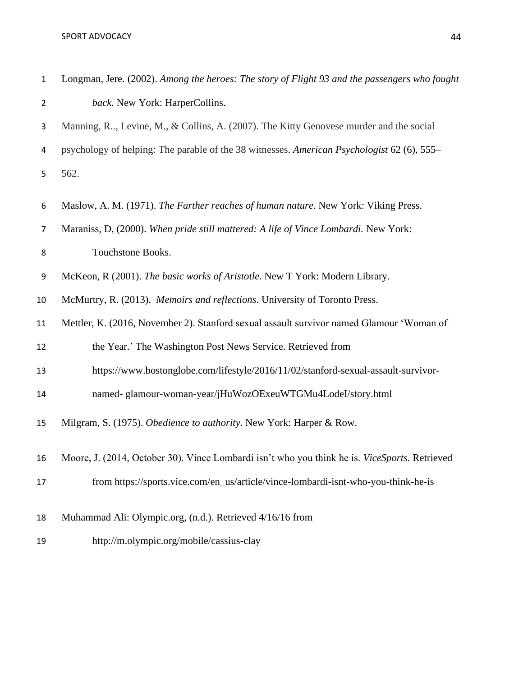| $\mathbf{1}$   | Longman, Jere. (2002). Among the heroes: The story of Flight 93 and the passengers who fought |
|----------------|-----------------------------------------------------------------------------------------------|
| $\overline{2}$ | back. New York: HarperCollins.                                                                |
| 3              | Manning, R, Levine, M., & Collins, A. (2007). The Kitty Genovese murder and the social        |
| 4              | psychology of helping: The parable of the 38 witnesses. American Psychologist 62 (6), 555–    |
| 5              | 562.                                                                                          |
| 6              | Maslow, A. M. (1971). The Farther reaches of human nature. New York: Viking Press.            |
| $\overline{7}$ | Maraniss, D, (2000). When pride still mattered: A life of Vince Lombardi. New York:           |
| 8              | Touchstone Books.                                                                             |
| 9              | McKeon, R (2001). The basic works of Aristotle. New T York: Modern Library.                   |
| 10             | McMurtry, R. (2013). Memoirs and reflections. University of Toronto Press.                    |
| 11             | Mettler, K. (2016, November 2). Stanford sexual assault survivor named Glamour 'Woman of      |
| 12             | the Year.' The Washington Post News Service. Retrieved from                                   |
| 13             | https://www.bostonglobe.com/lifestyle/2016/11/02/stanford-sexual-assault-survivor-            |
| 14             | named- glamour-woman-year/jHuWozOExeuWTGMu4LodeI/story.html                                   |
| 15             | Milgram, S. (1975). Obedience to authority. New York: Harper & Row.                           |
| 16             | Moore, J. (2014, October 30). Vince Lombardi isn't who you think he is. ViceSports. Retrieved |
| 17             | from https://sports.vice.com/en_us/article/vince-lombardi-isnt-who-you-think-he-is            |
| 18             | Muhammad Ali: Olympic.org, (n.d.). Retrieved 4/16/16 from                                     |
| 19             | http://m.olympic.org/mobile/cassius-clay                                                      |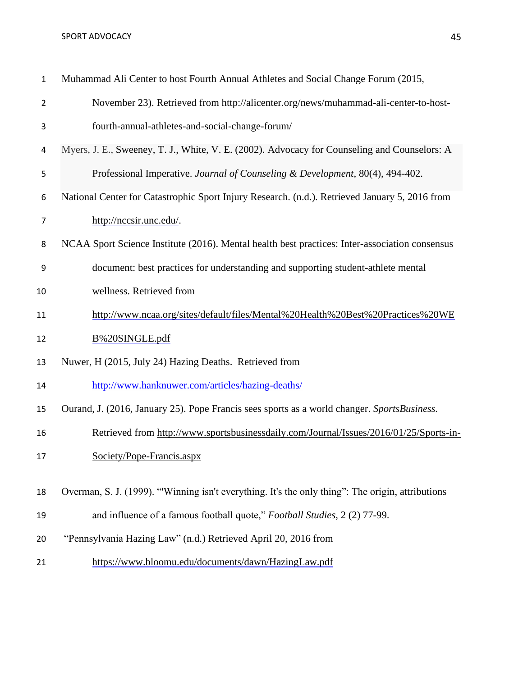### SPORT ADVOCACY AND ALL AND A SERIES AND A SERIES AND A SERIES AND A SERIES AND A SERIES AND A SERIES AND A SERIES AND A SERIES AND A SERIES AND A SERIES AND A SERIES AND A SERIES AND A SERIES AND A SERIES AND A SERIES AND

| $\mathbf{1}$ | Muhammad Ali Center to host Fourth Annual Athletes and Social Change Forum (2015,            |
|--------------|----------------------------------------------------------------------------------------------|
| 2            | November 23). Retrieved from http://alicenter.org/news/muhammad-ali-center-to-host-          |
| 3            | fourth-annual-athletes-and-social-change-forum/                                              |
| 4            | Myers, J. E., Sweeney, T. J., White, V. E. (2002). Advocacy for Counseling and Counselors: A |

- Professional Imperative. *Journal of Counseling & Development*, 80(4), 494-402.
- National Center for Catastrophic Sport Injury Research. (n.d.). Retrieved January 5, 2016 from [http://nccsir.unc.edu/.](http://nccsir.unc.edu/)
- NCAA Sport Science Institute (2016). Mental health best practices: Inter-association consensus
- document: best practices for understanding and supporting student-athlete mental
- wellness. Retrieved from
- [http://www.ncaa.org/sites/default/files/Mental%20Health%20Best%20Practices%20WE](http://www.ncaa.org/sites/default/files/mental%2525252520health%2525252520best%2525252520practices%2525252520web%2525252520single.pdf)
- [B%20SINGLE.pdf](http://www.ncaa.org/sites/default/files/mental%2525252520health%2525252520best%2525252520practices%2525252520web%2525252520single.pdf)
- Nuwer, H (2015, July 24) Hazing Deaths. Retrieved from
- <http://www.hanknuwer.com/articles/hazing-deaths/>
- Ourand, J. (2016, January 25). Pope Francis sees sports as a world changer. *SportsBusiness.*
- Retrieved from [http://www.sportsbusinessdaily.com/Journal/Issues/2016/01/25/Sports-in-](http://www.sportsbusinessdaily.com/Journal/Issues/2016/01/25/Sports-in-Society/Pope-Francis.aspx)
- [Society/Pope-Francis.aspx](http://www.sportsbusinessdaily.com/Journal/Issues/2016/01/25/Sports-in-Society/Pope-Francis.aspx)

Overman, S. J. (1999). "'Winning isn't everything. It's the only thing": The origin, attributions

- and influence of a famous football quote," *Football Studies*, [2 \(2\) 77-99.](http://www.la84foundation.org/index/footballstudies.html)
- "Pennsylvania Hazing Law" (n.d.) Retrieved April 20, 2016 from
- <https://www.bloomu.edu/documents/dawn/HazingLaw.pdf>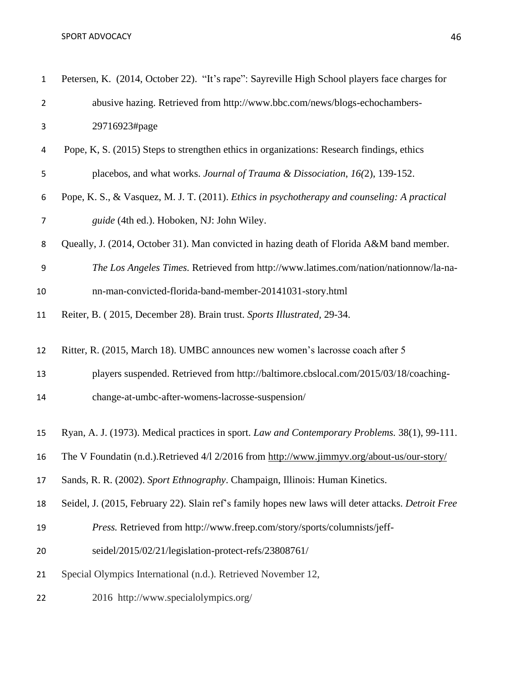| $\mathbf{1}$   | Petersen, K. (2014, October 22). "It's rape": Sayreville High School players face charges for      |
|----------------|----------------------------------------------------------------------------------------------------|
| $\overline{2}$ | abusive hazing. Retrieved from http://www.bbc.com/news/blogs-echochambers-                         |
| 3              | 29716923#page                                                                                      |
| 4              | Pope, K, S. (2015) Steps to strengthen ethics in organizations: Research findings, ethics          |
| 5              | placebos, and what works. Journal of Trauma & Dissociation, 16(2), 139-152.                        |
| 6              | Pope, K. S., & Vasquez, M. J. T. (2011). Ethics in psychotherapy and counseling: A practical       |
| $\overline{7}$ | guide (4th ed.). Hoboken, NJ: John Wiley.                                                          |
| 8              | Queally, J. (2014, October 31). Man convicted in hazing death of Florida A&M band member.          |
| 9              | The Los Angeles Times. Retrieved from http://www.latimes.com/nation/nationnow/la-na-               |
| 10             | nn-man-convicted-florida-band-member-20141031-story.html                                           |
| 11             | Reiter, B. (2015, December 28). Brain trust. Sports Illustrated, 29-34.                            |
| 12             | Ritter, R. (2015, March 18). UMBC announces new women's lacrosse coach after 5                     |
| 13             | players suspended. Retrieved from http://baltimore.cbslocal.com/2015/03/18/coaching-               |
| 14             | change-at-umbc-after-womens-lacrosse-suspension/                                                   |
| 15             | Ryan, A. J. (1973). Medical practices in sport. Law and Contemporary Problems. 38(1), 99-111.      |
| 16             | The V Foundatin (n.d.).Retrieved 4/1 2/2016 from http://www.jimmyv.org/about-us/our-story/         |
| 17             | Sands, R. R. (2002). Sport Ethnography. Champaign, Illinois: Human Kinetics.                       |
| 18             | Seidel, J. (2015, February 22). Slain ref's family hopes new laws will deter attacks. Detroit Free |
| 19             | Press. Retrieved from http://www.freep.com/story/sports/columnists/jeff-                           |
| 20             | seidel/2015/02/21/legislation-protect-refs/23808761/                                               |
| 21             | Special Olympics International (n.d.). Retrieved November 12,                                      |
| 22             | 2016 http://www.specialolympics.org/                                                               |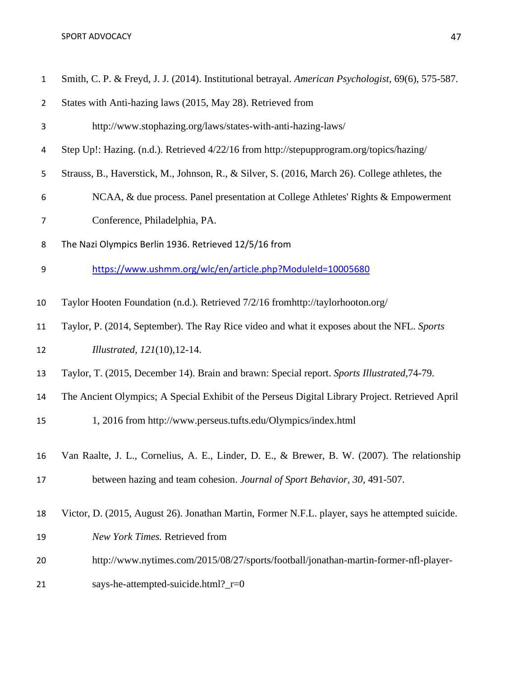#### SPORT ADVOCACY AND ALL AND A SERIES AND A SERIES AND A SERIES AND A SERIES AND A SERIES AND A SERIES AND A SERIES AND A SERIES AND A SERIES AND A SERIES AND A SERIES AND A SERIES AND A SERIES AND A SERIES AND A SERIES AND

| $\mathbf{1}$ | Smith, C. P. & Freyd, J. J. (2014). Institutional betrayal. American Psychologist, 69(6), 575-587. |
|--------------|----------------------------------------------------------------------------------------------------|
| 2            | States with Anti-hazing laws (2015, May 28). Retrieved from                                        |
| 3            | http://www.stophazing.org/laws/states-with-anti-hazing-laws/                                       |

- Step Up!: Hazing. (n.d.). Retrieved 4/22/16 from<http://stepupprogram.org/topics/hazing/>
- Strauss, B., Haverstick, M., Johnson, R., & Silver, S. (2016, March 26). College athletes, the
- NCAA, & due process. Panel presentation at College Athletes' Rights & Empowerment
- Conference, Philadelphia, PA.
- The Nazi Olympics Berlin 1936. Retrieved 12/5/16 from
- <https://www.ushmm.org/wlc/en/article.php?ModuleId=10005680>
- Taylor Hooten Foundation (n.d.). Retrieved 7/2/16 fromhttp://taylorhooton.org/
- Taylor, P. (2014, September). The Ray Rice video and what it exposes about the NFL. *Sports Illustrated, 121*(10),12-14.
- Taylor, T. (2015, December 14). Brain and brawn: Special report. *Sports Illustrated,*74-79.
- The Ancient Olympics; A Special Exhibit of the Perseus Digital Library Project. Retrieved April
- 1, 2016 from [http://www.perseus.tufts.edu/Olympics/index.html](http://www.perseus.tufts.edu/olympics/index.html)
- Van Raalte, J. L., Cornelius, A. E., Linder, D. E., & Brewer, B. W. (2007). The relationship between hazing and team cohesion. *Journal of Sport Behavior, 30,* 491-507.
- Victor, D. (2015, August 26). Jonathan Martin, Former N.F.L. player, says he attempted suicide.
- *New York Times.* Retrieved from
- [http://www.nytimes.com/2015/08/27/sports/football/jonathan-martin-former-nfl-player-](http://www.nytimes.com/2015/08/27/sports/football/jonathan-martin-former-nfl-player-says-he-attempted-suicide.html?_r=0)
- [says-he-attempted-suicide.html?\\_r=0](http://www.nytimes.com/2015/08/27/sports/football/jonathan-martin-former-nfl-player-says-he-attempted-suicide.html?_r=0)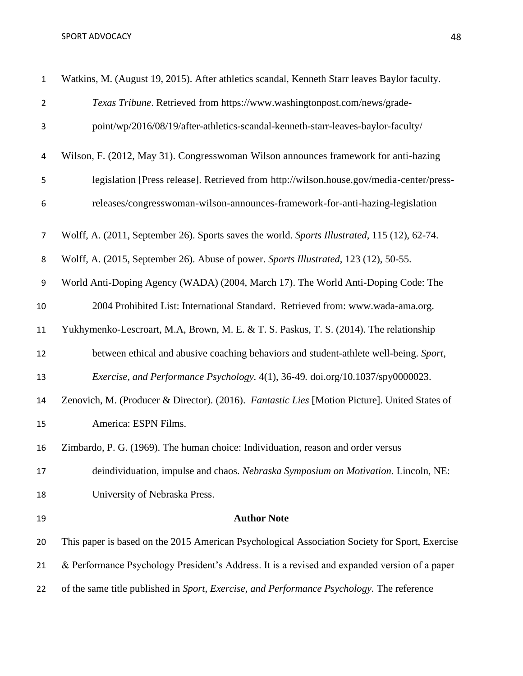| $\mathbf{1}$     | Watkins, M. (August 19, 2015). After athletics scandal, Kenneth Starr leaves Baylor faculty.   |
|------------------|------------------------------------------------------------------------------------------------|
| $\overline{2}$   | Texas Tribune. Retrieved from https://www.washingtonpost.com/news/grade-                       |
| 3                | point/wp/2016/08/19/after-athletics-scandal-kenneth-starr-leaves-baylor-faculty/               |
| 4                | Wilson, F. (2012, May 31). Congresswoman Wilson announces framework for anti-hazing            |
| 5                | legislation [Press release]. Retrieved from http://wilson.house.gov/media-center/press-        |
| 6                | releases/congresswoman-wilson-announces-framework-for-anti-hazing-legislation                  |
| $\overline{7}$   | Wolff, A. (2011, September 26). Sports saves the world. Sports Illustrated, 115 (12), 62-74.   |
| 8                | Wolff, A. (2015, September 26). Abuse of power. Sports Illustrated, 123 (12), 50-55.           |
| $\boldsymbol{9}$ | World Anti-Doping Agency (WADA) (2004, March 17). The World Anti-Doping Code: The              |
| 10               | 2004 Prohibited List: International Standard. Retrieved from: www.wada-ama.org.                |
| 11               | Yukhymenko-Lescroart, M.A, Brown, M. E. & T. S. Paskus, T. S. (2014). The relationship         |
| 12               | between ethical and abusive coaching behaviors and student-athlete well-being. Sport,          |
| 13               | Exercise, and Performance Psychology. 4(1), 36-49. doi.org/10.1037/spy0000023.                 |
| 14               | Zenovich, M. (Producer & Director). (2016). Fantastic Lies [Motion Picture]. United States of  |
| 15               | America: ESPN Films.                                                                           |
| 16               | Zimbardo, P. G. (1969). The human choice: Individuation, reason and order versus               |
| 17               | deindividuation, impulse and chaos. Nebraska Symposium on Motivation. Lincoln, NE:             |
| 18               | University of Nebraska Press.                                                                  |
| 19               | <b>Author Note</b>                                                                             |
| 20               | This paper is based on the 2015 American Psychological Association Society for Sport, Exercise |
| 21               | & Performance Psychology President's Address. It is a revised and expanded version of a paper  |
| 22               | of the same title published in Sport, Exercise, and Performance Psychology. The reference      |